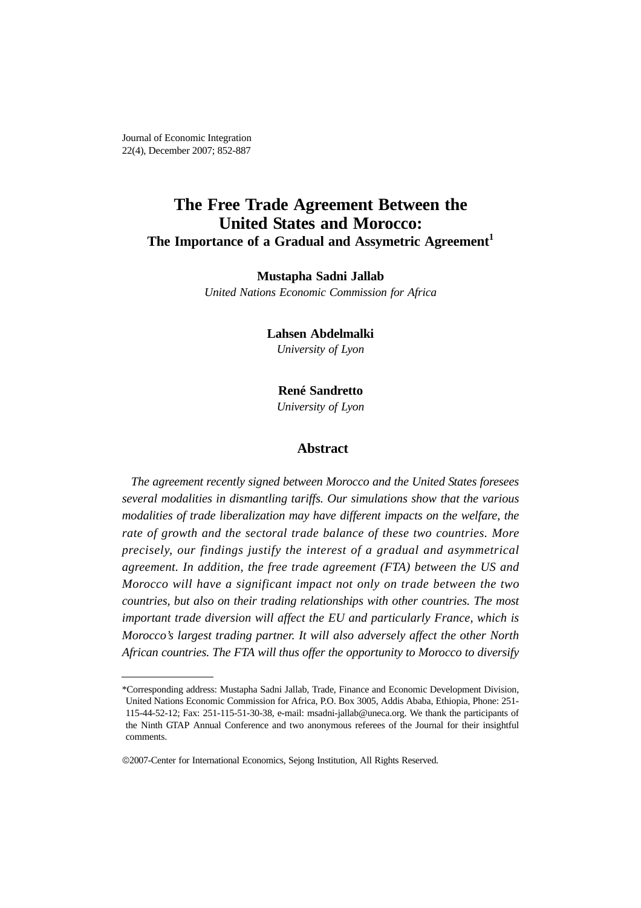Journal of Economic Integration 22(4), December 2007; 852-887

# **The Free Trade Agreement Between the United States and Morocco:** The Importance of a Gradual and Assymetric Agreement<sup>1</sup>

**Mustapha Sadni Jallab** *United Nations Economic Commission for Africa*

**Lahsen Abdelmalki**

*University of Lyon*

**René Sandretto**

*University of Lyon*

# **Abstract**

*The agreement recently signed between Morocco and the United States foresees several modalities in dismantling tariffs. Our simulations show that the various modalities of trade liberalization may have different impacts on the welfare, the rate of growth and the sectoral trade balance of these two countries. More precisely, our findings justify the interest of a gradual and asymmetrical agreement. In addition, the free trade agreement (FTA) between the US and Morocco will have a significant impact not only on trade between the two countries, but also on their trading relationships with other countries. The most important trade diversion will affect the EU and particularly France, which is Morocco's largest trading partner. It will also adversely affect the other North African countries. The FTA will thus offer the opportunity to Morocco to diversify*

<sup>\*</sup>Corresponding address: Mustapha Sadni Jallab, Trade, Finance and Economic Development Division, United Nations Economic Commission for Africa, P.O. Box 3005, Addis Ababa, Ethiopia, Phone: 251- 115-44-52-12; Fax: 251-115-51-30-38, e-mail: msadni-jallab@uneca.org. We thank the participants of the Ninth GTAP Annual Conference and two anonymous referees of the Journal for their insightful comments.

<sup>©</sup>2007-Center for International Economics, Sejong Institution, All Rights Reserved.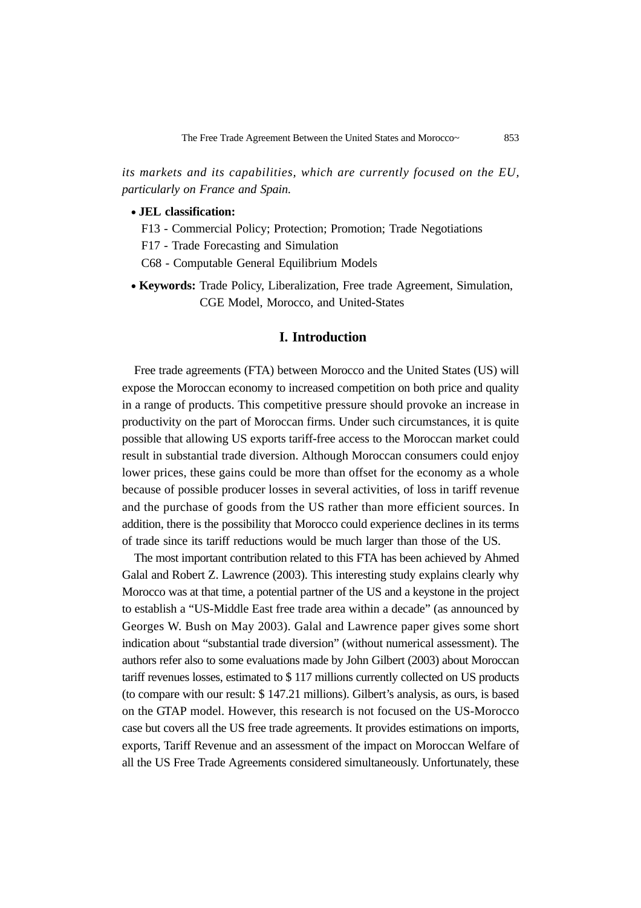*its markets and its capabilities, which are currently focused on the EU, particularly on France and Spain.* 

#### • **JEL classification:**

F13 - Commercial Policy; Protection; Promotion; Trade Negotiations

F17 - Trade Forecasting and Simulation

- C68 Computable General Equilibrium Models
- **Keywords:** Trade Policy, Liberalization, Free trade Agreement, Simulation, CGE Model, Morocco, and United-States

# **I. Introduction**

Free trade agreements (FTA) between Morocco and the United States (US) will expose the Moroccan economy to increased competition on both price and quality in a range of products. This competitive pressure should provoke an increase in productivity on the part of Moroccan firms. Under such circumstances, it is quite possible that allowing US exports tariff-free access to the Moroccan market could result in substantial trade diversion. Although Moroccan consumers could enjoy lower prices, these gains could be more than offset for the economy as a whole because of possible producer losses in several activities, of loss in tariff revenue and the purchase of goods from the US rather than more efficient sources. In addition, there is the possibility that Morocco could experience declines in its terms of trade since its tariff reductions would be much larger than those of the US.

The most important contribution related to this FTA has been achieved by Ahmed Galal and Robert Z. Lawrence (2003). This interesting study explains clearly why Morocco was at that time, a potential partner of the US and a keystone in the project to establish a "US-Middle East free trade area within a decade" (as announced by Georges W. Bush on May 2003). Galal and Lawrence paper gives some short indication about "substantial trade diversion" (without numerical assessment). The authors refer also to some evaluations made by John Gilbert (2003) about Moroccan tariff revenues losses, estimated to \$ 117 millions currently collected on US products (to compare with our result: \$ 147.21 millions). Gilbert's analysis, as ours, is based on the GTAP model. However, this research is not focused on the US-Morocco case but covers all the US free trade agreements. It provides estimations on imports, exports, Tariff Revenue and an assessment of the impact on Moroccan Welfare of all the US Free Trade Agreements considered simultaneously. Unfortunately, these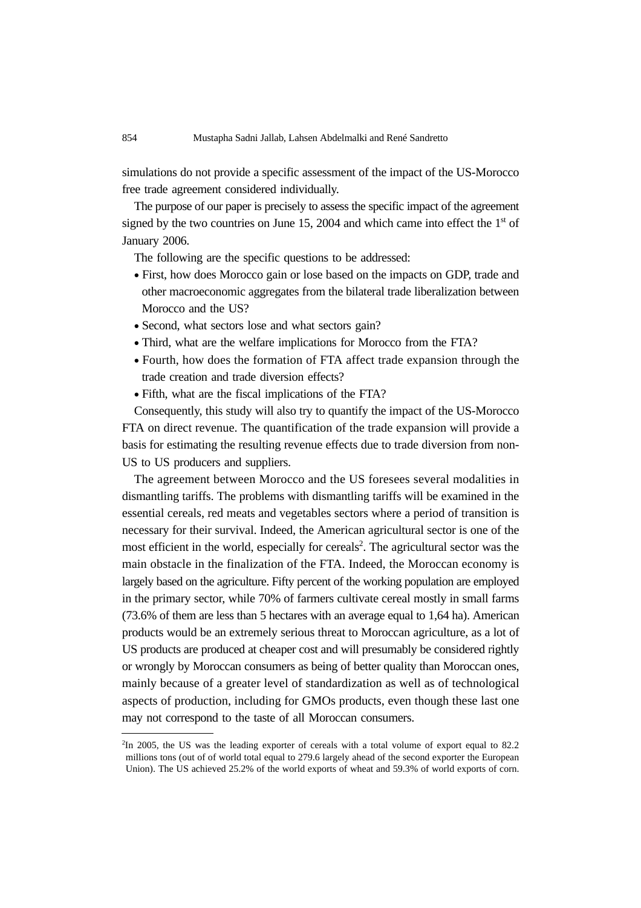simulations do not provide a specific assessment of the impact of the US-Morocco free trade agreement considered individually.

The purpose of our paper is precisely to assess the specific impact of the agreement signed by the two countries on June 15, 2004 and which came into effect the  $1<sup>st</sup>$  of January 2006.

The following are the specific questions to be addressed:

- First, how does Morocco gain or lose based on the impacts on GDP, trade and other macroeconomic aggregates from the bilateral trade liberalization between Morocco and the US?
- Second, what sectors lose and what sectors gain?
- Third, what are the welfare implications for Morocco from the FTA?
- Fourth, how does the formation of FTA affect trade expansion through the trade creation and trade diversion effects?
- Fifth, what are the fiscal implications of the FTA?

Consequently, this study will also try to quantify the impact of the US-Morocco FTA on direct revenue. The quantification of the trade expansion will provide a basis for estimating the resulting revenue effects due to trade diversion from non-US to US producers and suppliers.

The agreement between Morocco and the US foresees several modalities in dismantling tariffs. The problems with dismantling tariffs will be examined in the essential cereals, red meats and vegetables sectors where a period of transition is necessary for their survival. Indeed, the American agricultural sector is one of the most efficient in the world, especially for cereals<sup>2</sup>. The agricultural sector was the main obstacle in the finalization of the FTA. Indeed, the Moroccan economy is largely based on the agriculture. Fifty percent of the working population are employed in the primary sector, while 70% of farmers cultivate cereal mostly in small farms (73.6% of them are less than 5 hectares with an average equal to 1,64 ha). American products would be an extremely serious threat to Moroccan agriculture, as a lot of US products are produced at cheaper cost and will presumably be considered rightly or wrongly by Moroccan consumers as being of better quality than Moroccan ones, mainly because of a greater level of standardization as well as of technological aspects of production, including for GMOs products, even though these last one may not correspond to the taste of all Moroccan consumers.

<sup>&</sup>lt;sup>2</sup>In 2005, the US was the leading exporter of cereals with a total volume of export equal to 82.2 millions tons (out of of world total equal to 279.6 largely ahead of the second exporter the European Union). The US achieved 25.2% of the world exports of wheat and 59.3% of world exports of corn.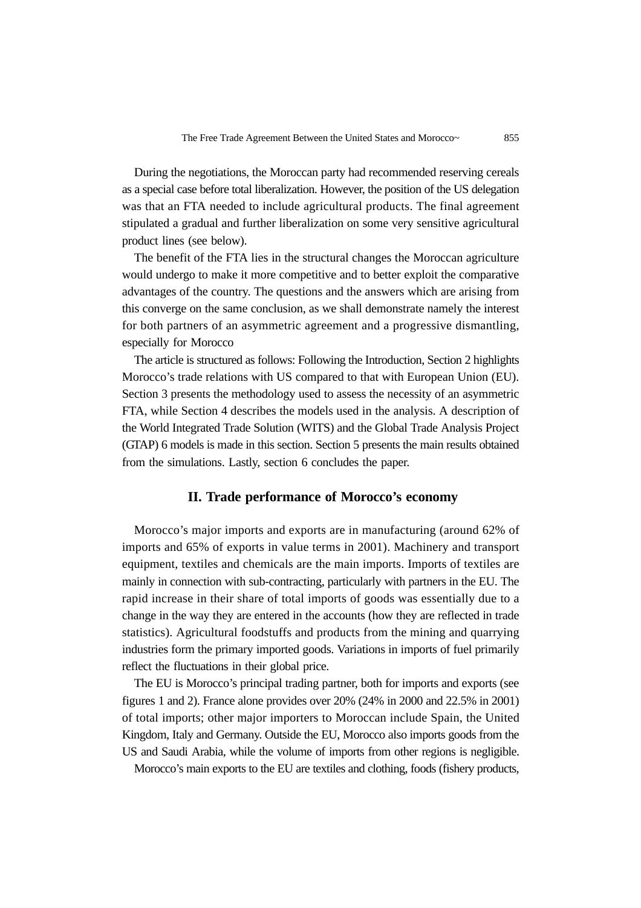During the negotiations, the Moroccan party had recommended reserving cereals as a special case before total liberalization. However, the position of the US delegation was that an FTA needed to include agricultural products. The final agreement stipulated a gradual and further liberalization on some very sensitive agricultural product lines (see below).

The benefit of the FTA lies in the structural changes the Moroccan agriculture would undergo to make it more competitive and to better exploit the comparative advantages of the country. The questions and the answers which are arising from this converge on the same conclusion, as we shall demonstrate namely the interest for both partners of an asymmetric agreement and a progressive dismantling, especially for Morocco

The article is structured as follows: Following the Introduction, Section 2 highlights Morocco's trade relations with US compared to that with European Union (EU). Section 3 presents the methodology used to assess the necessity of an asymmetric FTA, while Section 4 describes the models used in the analysis. A description of the World Integrated Trade Solution (WITS) and the Global Trade Analysis Project (GTAP) 6 models is made in this section. Section 5 presents the main results obtained from the simulations. Lastly, section 6 concludes the paper.

# **II. Trade performance of Morocco's economy**

Morocco's major imports and exports are in manufacturing (around 62% of imports and 65% of exports in value terms in 2001). Machinery and transport equipment, textiles and chemicals are the main imports. Imports of textiles are mainly in connection with sub-contracting, particularly with partners in the EU. The rapid increase in their share of total imports of goods was essentially due to a change in the way they are entered in the accounts (how they are reflected in trade statistics). Agricultural foodstuffs and products from the mining and quarrying industries form the primary imported goods. Variations in imports of fuel primarily reflect the fluctuations in their global price.

The EU is Morocco's principal trading partner, both for imports and exports (see figures 1 and 2). France alone provides over 20% (24% in 2000 and 22.5% in 2001) of total imports; other major importers to Moroccan include Spain, the United Kingdom, Italy and Germany. Outside the EU, Morocco also imports goods from the US and Saudi Arabia, while the volume of imports from other regions is negligible.

Morocco's main exports to the EU are textiles and clothing, foods (fishery products,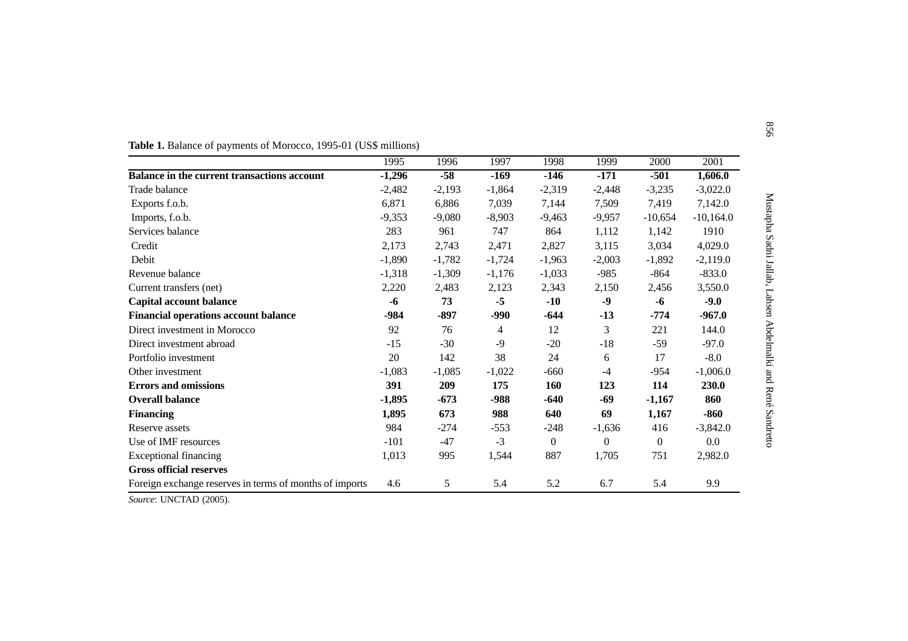|                                                         | 1995     | 1996     | 1997     | 1998             | 1999     | 2000           | 2001        |
|---------------------------------------------------------|----------|----------|----------|------------------|----------|----------------|-------------|
| <b>Balance in the current transactions account</b>      | $-1,296$ | $-58$    | $-169$   | $-146$           | $-171$   | $-501$         | 1,606.0     |
| Trade balance                                           | $-2,482$ | $-2,193$ | $-1,864$ | $-2,319$         | $-2,448$ | $-3,235$       | $-3,022.0$  |
| Exports f.o.b.                                          | 6,871    | 6,886    | 7,039    | 7,144            | 7,509    | 7,419          | 7,142.0     |
| Imports, f.o.b.                                         | $-9,353$ | $-9,080$ | $-8,903$ | $-9,463$         | $-9,957$ | $-10,654$      | $-10,164.0$ |
| Services balance                                        | 283      | 961      | 747      | 864              | 1,112    | 1,142          | 1910        |
| Credit                                                  | 2,173    | 2,743    | 2,471    | 2,827            | 3,115    | 3,034          | 4,029.0     |
| Debit                                                   | $-1,890$ | $-1,782$ | $-1,724$ | $-1,963$         | $-2,003$ | $-1,892$       | $-2,119.0$  |
| Revenue balance                                         | $-1,318$ | $-1,309$ | $-1,176$ | $-1,033$         | $-985$   | $-864$         | $-833.0$    |
| Current transfers (net)                                 | 2,220    | 2,483    | 2,123    | 2,343            | 2,150    | 2,456          | 3,550.0     |
| Capital account balance                                 | -6       | 73       | $-5$     | $-10$            | $-9$     | -6             | $-9.0$      |
| <b>Financial operations account balance</b>             | -984     | $-897$   | $-990$   | -644             | $-13$    | -774           | $-967.0$    |
| Direct investment in Morocco                            | 92       | 76       | 4        | 12               | 3        | 221            | 144.0       |
| Direct investment abroad                                | $-15$    | $-30$    | $-9$     | $-20$            | $-18$    | $-59$          | $-97.0$     |
| Portfolio investment                                    | 20       | 142      | 38       | 24               | 6        | 17             | $-8.0$      |
| Other investment                                        | $-1,083$ | $-1,085$ | $-1,022$ | $-660$           | $-4$     | $-954$         | $-1,006.0$  |
| <b>Errors and omissions</b>                             | 391      | 209      | 175      | 160              | 123      | 114            | 230.0       |
| <b>Overall balance</b>                                  | $-1,895$ | $-673$   | $-988$   | -640             | -69      | $-1,167$       | 860         |
| <b>Financing</b>                                        | 1,895    | 673      | 988      | 640              | 69       | 1,167          | $-860$      |
| Reserve assets                                          | 984      | $-274$   | $-553$   | $-248$           | $-1,636$ | 416            | $-3,842.0$  |
| Use of IMF resources                                    | $-101$   | $-47$    | $-3$     | $\boldsymbol{0}$ | $\theta$ | $\overline{0}$ | 0.0         |
| <b>Exceptional financing</b>                            | 1,013    | 995      | 1,544    | 887              | 1,705    | 751            | 2,982.0     |
| <b>Gross official reserves</b>                          |          |          |          |                  |          |                |             |
| Foreign exchange reserves in terms of months of imports | 4.6      | 5        | 5.4      | 5.2              | 6.7      | 5.4            | 9.9         |

*Source*: UNCTAD (2005).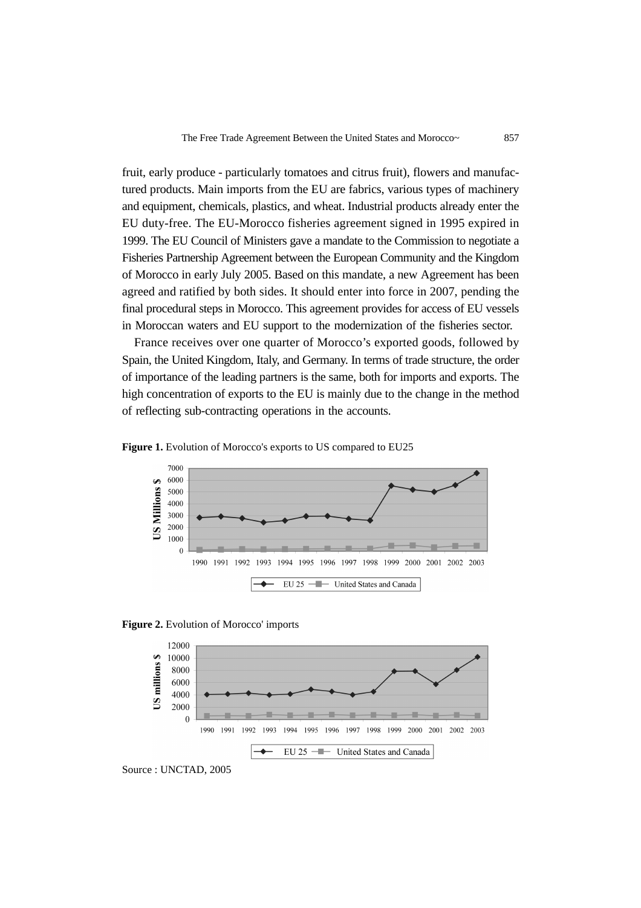fruit, early produce - particularly tomatoes and citrus fruit), flowers and manufactured products. Main imports from the EU are fabrics, various types of machinery and equipment, chemicals, plastics, and wheat. Industrial products already enter the EU duty-free. The EU-Morocco fisheries agreement signed in 1995 expired in 1999. The EU Council of Ministers gave a mandate to the Commission to negotiate a Fisheries Partnership Agreement between the European Community and the Kingdom of Morocco in early July 2005. Based on this mandate, a new Agreement has been agreed and ratified by both sides. It should enter into force in 2007, pending the final procedural steps in Morocco. This agreement provides for access of EU vessels in Moroccan waters and EU support to the modernization of the fisheries sector.

France receives over one quarter of Morocco's exported goods, followed by Spain, the United Kingdom, Italy, and Germany. In terms of trade structure, the order of importance of the leading partners is the same, both for imports and exports. The high concentration of exports to the EU is mainly due to the change in the method of reflecting sub-contracting operations in the accounts.









Source : UNCTAD, 2005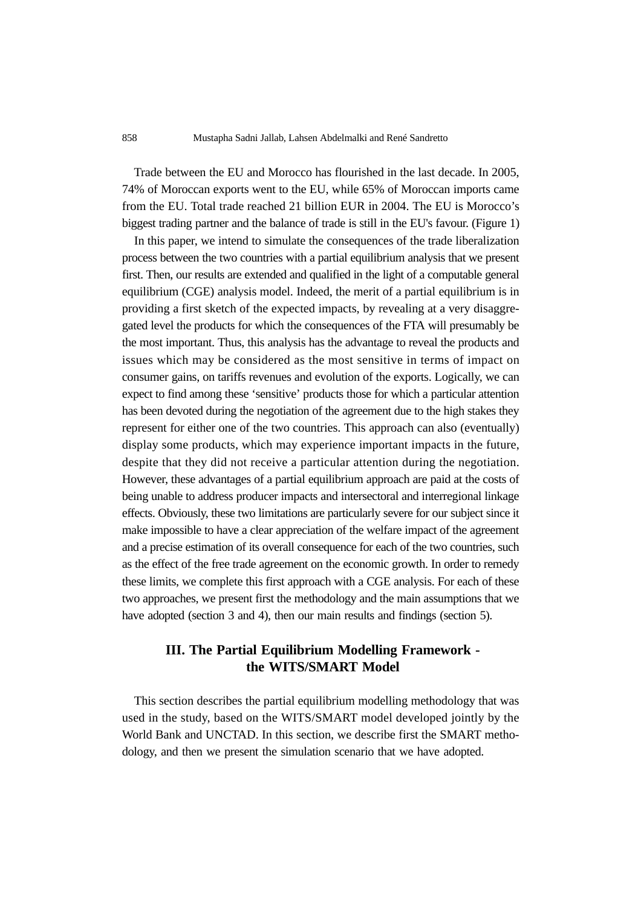Trade between the EU and Morocco has flourished in the last decade. In 2005, 74% of Moroccan exports went to the EU, while 65% of Moroccan imports came from the EU. Total trade reached 21 billion EUR in 2004. The EU is Morocco's biggest trading partner and the balance of trade is still in the EU's favour. (Figure 1)

In this paper, we intend to simulate the consequences of the trade liberalization process between the two countries with a partial equilibrium analysis that we present first. Then, our results are extended and qualified in the light of a computable general equilibrium (CGE) analysis model. Indeed, the merit of a partial equilibrium is in providing a first sketch of the expected impacts, by revealing at a very disaggregated level the products for which the consequences of the FTA will presumably be the most important. Thus, this analysis has the advantage to reveal the products and issues which may be considered as the most sensitive in terms of impact on consumer gains, on tariffs revenues and evolution of the exports. Logically, we can expect to find among these 'sensitive' products those for which a particular attention has been devoted during the negotiation of the agreement due to the high stakes they represent for either one of the two countries. This approach can also (eventually) display some products, which may experience important impacts in the future, despite that they did not receive a particular attention during the negotiation. However, these advantages of a partial equilibrium approach are paid at the costs of being unable to address producer impacts and intersectoral and interregional linkage effects. Obviously, these two limitations are particularly severe for our subject since it make impossible to have a clear appreciation of the welfare impact of the agreement and a precise estimation of its overall consequence for each of the two countries, such as the effect of the free trade agreement on the economic growth. In order to remedy these limits, we complete this first approach with a CGE analysis. For each of these two approaches, we present first the methodology and the main assumptions that we have adopted (section 3 and 4), then our main results and findings (section 5).

# **III. The Partial Equilibrium Modelling Framework the WITS/SMART Model**

This section describes the partial equilibrium modelling methodology that was used in the study, based on the WITS/SMART model developed jointly by the World Bank and UNCTAD. In this section, we describe first the SMART methodology, and then we present the simulation scenario that we have adopted.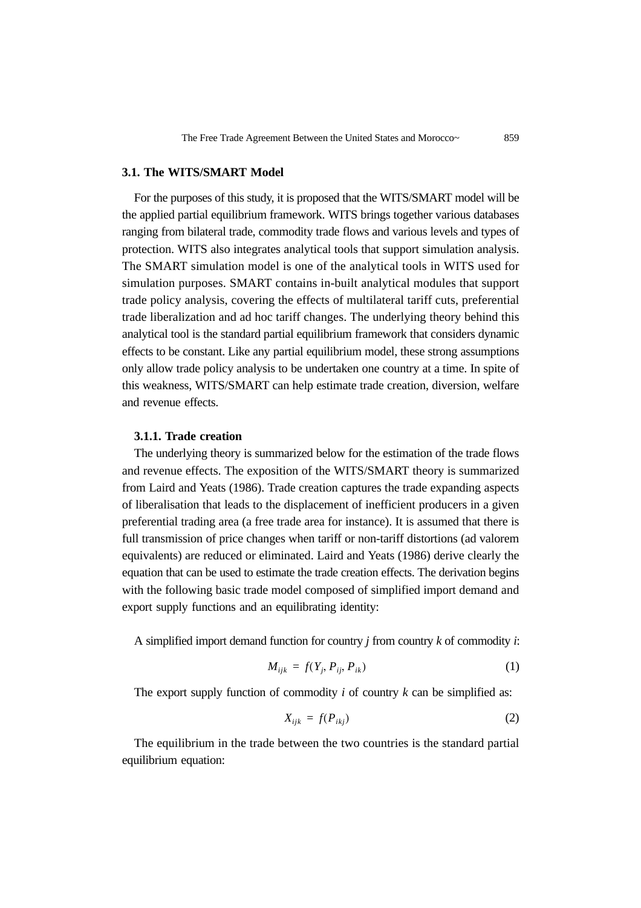## **3.1. The WITS/SMART Model**

For the purposes of this study, it is proposed that the WITS/SMART model will be the applied partial equilibrium framework. WITS brings together various databases ranging from bilateral trade, commodity trade flows and various levels and types of protection. WITS also integrates analytical tools that support simulation analysis. The SMART simulation model is one of the analytical tools in WITS used for simulation purposes. SMART contains in-built analytical modules that support trade policy analysis, covering the effects of multilateral tariff cuts, preferential trade liberalization and ad hoc tariff changes. The underlying theory behind this analytical tool is the standard partial equilibrium framework that considers dynamic effects to be constant. Like any partial equilibrium model, these strong assumptions only allow trade policy analysis to be undertaken one country at a time. In spite of this weakness, WITS/SMART can help estimate trade creation, diversion, welfare and revenue effects.

# **3.1.1. Trade creation**

The underlying theory is summarized below for the estimation of the trade flows and revenue effects. The exposition of the WITS/SMART theory is summarized from Laird and Yeats (1986). Trade creation captures the trade expanding aspects of liberalisation that leads to the displacement of inefficient producers in a given preferential trading area (a free trade area for instance). It is assumed that there is full transmission of price changes when tariff or non-tariff distortions (ad valorem equivalents) are reduced or eliminated. Laird and Yeats (1986) derive clearly the equation that can be used to estimate the trade creation effects. The derivation begins with the following basic trade model composed of simplified import demand and export supply functions and an equilibrating identity:

A simplified import demand function for country *j* from country *k* of commodity *i*:

$$
M_{ijk} = f(Y_j, P_{ij}, P_{ik})
$$
 (1)

The export supply function of commodity *i* of country *k* can be simplified as:

$$
X_{ijk} = f(P_{ikj})
$$
 (2)

The equilibrium in the trade between the two countries is the standard partial equilibrium equation: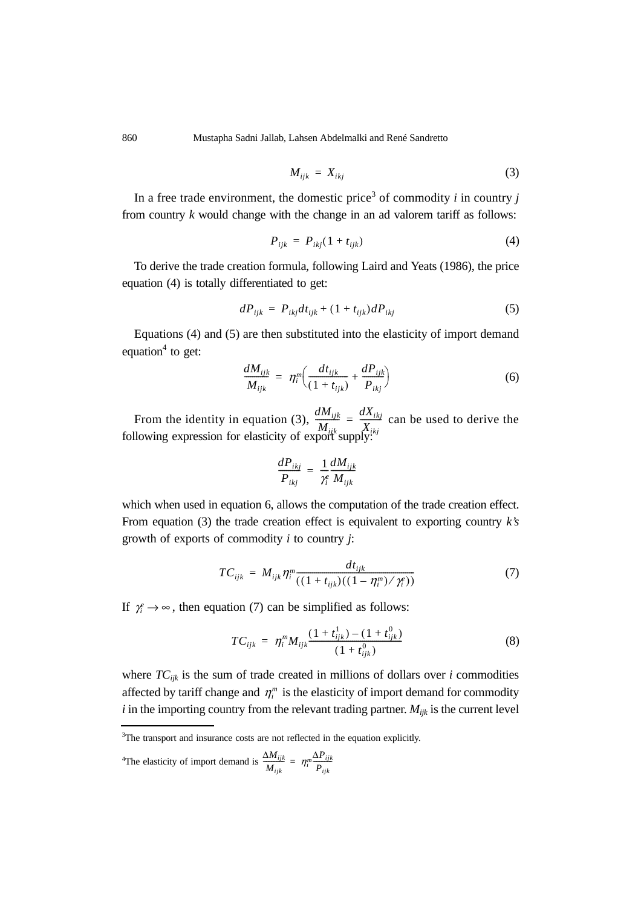860 Mustapha Sadni Jallab, Lahsen Abdelmalki and René Sandretto

$$
M_{ijk} = X_{ikj} \tag{3}
$$

In a free trade environment, the domestic price<sup>3</sup> of commodity  $i$  in country  $j$ from country *k* would change with the change in an ad valorem tariff as follows:

$$
P_{ijk} = P_{ikj}(1 + t_{ijk})
$$
\n<sup>(4)</sup>

To derive the trade creation formula, following Laird and Yeats (1986), the price equation (4) is totally differentiated to get:

$$
dP_{ijk} = P_{ikj}dt_{ijk} + (1 + t_{ijk})dP_{ikj}
$$
 (5)

Equations (4) and (5) are then substituted into the elasticity of import demand equation<sup>4</sup> to get:

$$
\frac{dM_{ijk}}{M_{ijk}} = \eta_i^m \left( \frac{dt_{ijk}}{(1+t_{ijk})} + \frac{dP_{ijk}}{P_{ikj}} \right) \tag{6}
$$

From the identity in equation (3),  $\frac{u_1u_2u_3}{v_1} = \frac{u_1u_2}{v_2}$  can be used to derive the following expression for elasticity of export supply:  $dM_{ijk}$ *Mijk*  $\frac{dM_{ijk}}{dt} = \frac{dX_{ikj}}{dt}$  $=\frac{u_{ikj}}{X_{ikj}}$ 

$$
\frac{dP_{ikj}}{P_{ikj}} = \frac{1}{\gamma_i^e} \frac{dM_{ijk}}{M_{ijk}}
$$

which when used in equation 6, allows the computation of the trade creation effect. From equation (3) the trade creation effect is equivalent to exporting country *k's* growth of exports of commodity *i* to country *j*:

$$
TC_{ijk} = M_{ijk} \eta_i^m \frac{dt_{ijk}}{((1 + t_{ijk})((1 - \eta_i^m)/\gamma_i^s))}
$$
(7)

If  $\gamma_i^e \to \infty$ , then equation (7) can be simplified as follows:

$$
TC_{ijk} = \eta_i^m M_{ijk} \frac{(1+t_{ijk}^1) - (1+t_{ijk}^0)}{(1+t_{ijk}^0)}
$$
(8)

where  $TC_{ijk}$  is the sum of trade created in millions of dollars over *i* commodities affected by tariff change and  $\eta_i^m$  is the elasticity of import demand for commodity  $i$  in the importing country from the relevant trading partner.  $M_{ijk}$  is the current level

<sup>4</sup>The elasticity of import demand is  $\frac{\Delta M_{ijk}}{\Delta t}$  $\frac{\Delta M_{ijk}}{M_{ijk}} = \eta_i^m \frac{\Delta P_{ijk}}{P_{ijk}}$  $= \eta_i^m \frac{H_{ijk}}{P_{ijk}}$ 

<sup>&</sup>lt;sup>3</sup>The transport and insurance costs are not reflected in the equation explicitly.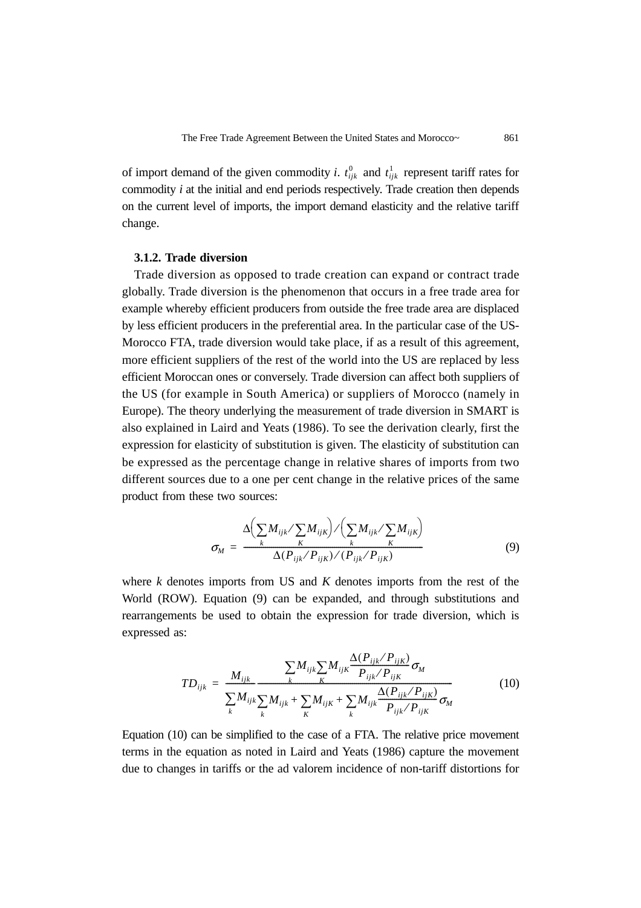of import demand of the given commodity *i*.  $t_{ijk}^0$  and  $t_{ijk}^1$  represent tariff rates for commodity *i* at the initial and end periods respectively. Trade creation then depends on the current level of imports, the import demand elasticity and the relative tariff change.

# **3.1.2. Trade diversion**

Trade diversion as opposed to trade creation can expand or contract trade globally. Trade diversion is the phenomenon that occurs in a free trade area for example whereby efficient producers from outside the free trade area are displaced by less efficient producers in the preferential area. In the particular case of the US-Morocco FTA, trade diversion would take place, if as a result of this agreement, more efficient suppliers of the rest of the world into the US are replaced by less efficient Moroccan ones or conversely. Trade diversion can affect both suppliers of the US (for example in South America) or suppliers of Morocco (namely in Europe). The theory underlying the measurement of trade diversion in SMART is also explained in Laird and Yeats (1986). To see the derivation clearly, first the expression for elasticity of substitution is given. The elasticity of substitution can be expressed as the percentage change in relative shares of imports from two different sources due to a one per cent change in the relative prices of the same product from these two sources:

$$
\sigma_M = \frac{\Delta \left( \sum_k M_{ijk} / \sum_k M_{ijk} \right) / \left( \sum_k M_{ijk} / \sum_k M_{ijk} \right)}{\Delta (P_{ijk} / P_{ijk}) / (P_{ijk} / P_{ijk})}
$$
(9)

where *k* denotes imports from US and *K* denotes imports from the rest of the World (ROW). Equation (9) can be expanded, and through substitutions and rearrangements be used to obtain the expression for trade diversion, which is expressed as:

$$
TD_{ijk} = \frac{\sum_{ijk} M_{ijk} \sum_{k} M_{ijk} \frac{\Delta(P_{ijk}/P_{ijk})}{P_{ijk}/P_{ijk}} \sigma_{M}}{\sum_{k} M_{ijk} \sum_{k} M_{ijk} + \sum_{k} M_{ijk} + \sum_{k} M_{ijk} \frac{\Delta(P_{ijk}/P_{ijk})}{P_{ijk}/P_{ijk}} \sigma_{M}}
$$
(10)

Equation (10) can be simplified to the case of a FTA. The relative price movement terms in the equation as noted in Laird and Yeats (1986) capture the movement due to changes in tariffs or the ad valorem incidence of non-tariff distortions for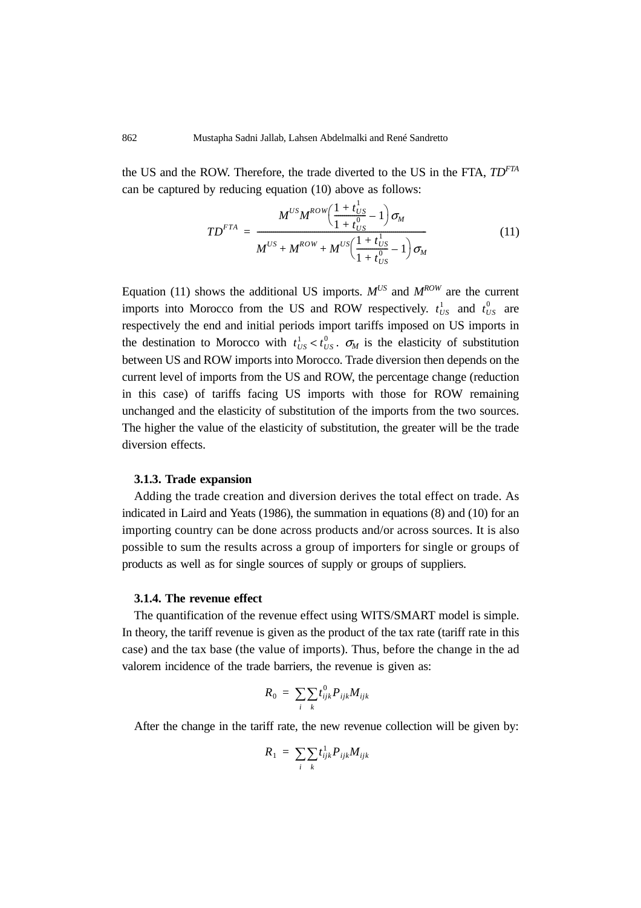the US and the ROW. Therefore, the trade diverted to the US in the FTA, *TDFTA* can be captured by reducing equation (10) above as follows:

$$
TD^{FTA} = \frac{M^{US}M^{ROW}\left(\frac{1+t_{US}^{1}}{1+t_{US}^{0}}-1\right)\sigma_{M}}{M^{US}+M^{ROW}+M^{US}\left(\frac{1+t_{US}^{1}}{1+t_{US}^{0}}-1\right)\sigma_{M}}
$$
(11)

Equation (11) shows the additional US imports.  $M^{US}$  and  $M^{ROW}$  are the current imports into Morocco from the US and ROW respectively.  $t_{US}^1$  and  $t_{US}^0$  are respectively the end and initial periods import tariffs imposed on US imports in the destination to Morocco with  $t_{US}^1 < t_{US}^0$ .  $\sigma_M$  is the elasticity of substitution between US and ROW imports into Morocco. Trade diversion then depends on the current level of imports from the US and ROW, the percentage change (reduction in this case) of tariffs facing US imports with those for ROW remaining unchanged and the elasticity of substitution of the imports from the two sources. The higher the value of the elasticity of substitution, the greater will be the trade diversion effects.

# **3.1.3. Trade expansion**

Adding the trade creation and diversion derives the total effect on trade. As indicated in Laird and Yeats (1986), the summation in equations (8) and (10) for an importing country can be done across products and/or across sources. It is also possible to sum the results across a group of importers for single or groups of products as well as for single sources of supply or groups of suppliers.

#### **3.1.4. The revenue effect**

The quantification of the revenue effect using WITS/SMART model is simple. In theory, the tariff revenue is given as the product of the tax rate (tariff rate in this case) and the tax base (the value of imports). Thus, before the change in the ad valorem incidence of the trade barriers, the revenue is given as:

$$
R_0 = \sum_i \sum_k t_{ijk}^0 P_{ijk} M_{ijk}
$$

After the change in the tariff rate, the new revenue collection will be given by:

$$
R_1 = \sum_i \sum_k t_{ijk}^1 P_{ijk} M_{ijk}
$$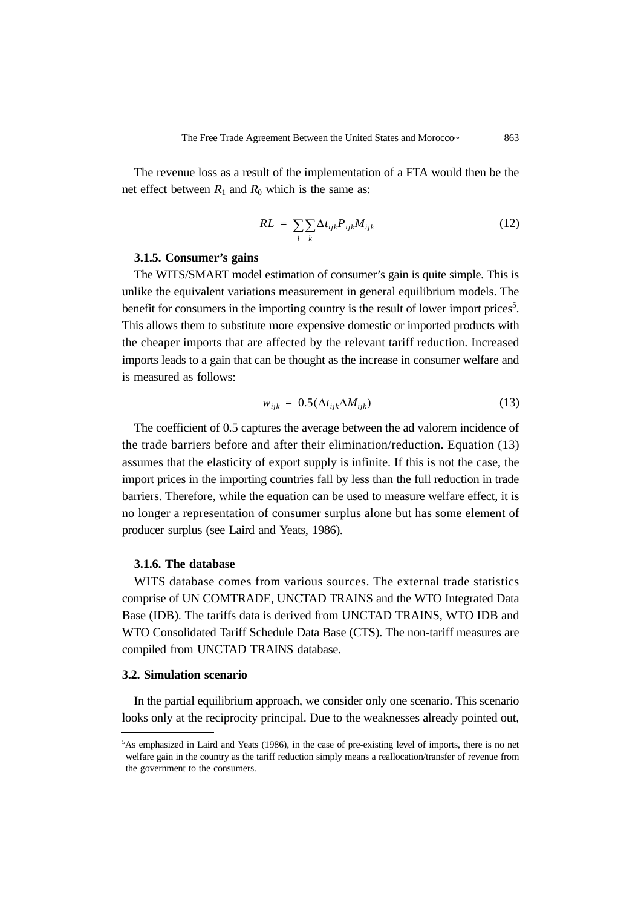The revenue loss as a result of the implementation of a FTA would then be the net effect between  $R_1$  and  $R_0$  which is the same as:

$$
RL = \sum_{i} \sum_{k} \Delta t_{ijk} P_{ijk} M_{ijk} \tag{12}
$$

# **3.1.5. Consumer's gains**

The WITS/SMART model estimation of consumer's gain is quite simple. This is unlike the equivalent variations measurement in general equilibrium models. The benefit for consumers in the importing country is the result of lower import prices<sup>5</sup>. This allows them to substitute more expensive domestic or imported products with the cheaper imports that are affected by the relevant tariff reduction. Increased imports leads to a gain that can be thought as the increase in consumer welfare and is measured as follows:

$$
w_{ijk} = 0.5(\Delta t_{ijk}\Delta M_{ijk})\tag{13}
$$

The coefficient of 0.5 captures the average between the ad valorem incidence of the trade barriers before and after their elimination/reduction. Equation (13) assumes that the elasticity of export supply is infinite. If this is not the case, the import prices in the importing countries fall by less than the full reduction in trade barriers. Therefore, while the equation can be used to measure welfare effect, it is no longer a representation of consumer surplus alone but has some element of producer surplus (see Laird and Yeats, 1986).

# **3.1.6. The database**

WITS database comes from various sources. The external trade statistics comprise of UN COMTRADE, UNCTAD TRAINS and the WTO Integrated Data Base (IDB). The tariffs data is derived from UNCTAD TRAINS, WTO IDB and WTO Consolidated Tariff Schedule Data Base (CTS). The non-tariff measures are compiled from UNCTAD TRAINS database.

#### **3.2. Simulation scenario**

In the partial equilibrium approach, we consider only one scenario. This scenario looks only at the reciprocity principal. Due to the weaknesses already pointed out,

<sup>5</sup> As emphasized in Laird and Yeats (1986), in the case of pre-existing level of imports, there is no net welfare gain in the country as the tariff reduction simply means a reallocation/transfer of revenue from the government to the consumers.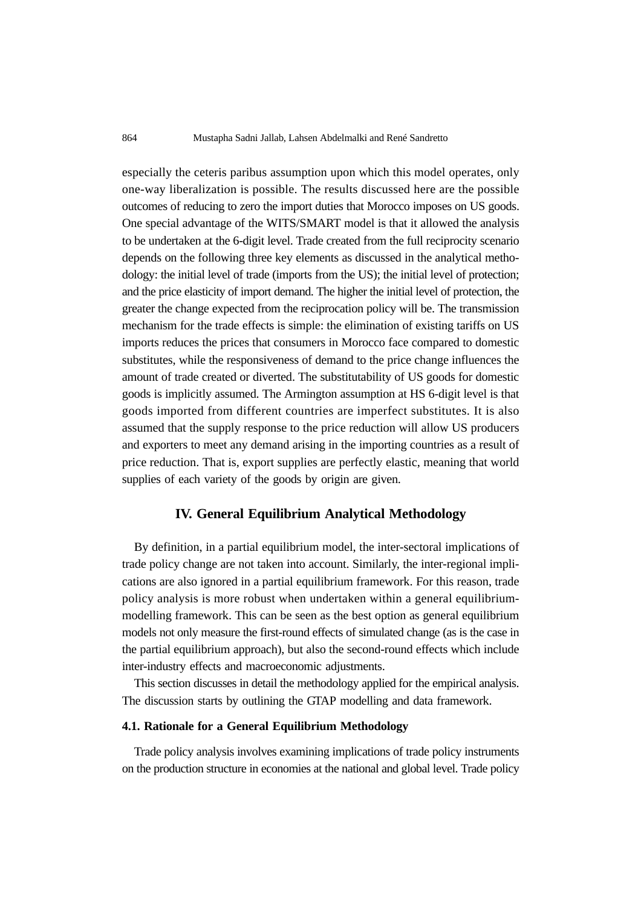especially the ceteris paribus assumption upon which this model operates, only one-way liberalization is possible. The results discussed here are the possible outcomes of reducing to zero the import duties that Morocco imposes on US goods. One special advantage of the WITS/SMART model is that it allowed the analysis to be undertaken at the 6-digit level. Trade created from the full reciprocity scenario depends on the following three key elements as discussed in the analytical methodology: the initial level of trade (imports from the US); the initial level of protection; and the price elasticity of import demand. The higher the initial level of protection, the greater the change expected from the reciprocation policy will be. The transmission mechanism for the trade effects is simple: the elimination of existing tariffs on US imports reduces the prices that consumers in Morocco face compared to domestic substitutes, while the responsiveness of demand to the price change influences the amount of trade created or diverted. The substitutability of US goods for domestic goods is implicitly assumed. The Armington assumption at HS 6-digit level is that goods imported from different countries are imperfect substitutes. It is also assumed that the supply response to the price reduction will allow US producers and exporters to meet any demand arising in the importing countries as a result of price reduction. That is, export supplies are perfectly elastic, meaning that world supplies of each variety of the goods by origin are given.

# **IV. General Equilibrium Analytical Methodology**

By definition, in a partial equilibrium model, the inter-sectoral implications of trade policy change are not taken into account. Similarly, the inter-regional implications are also ignored in a partial equilibrium framework. For this reason, trade policy analysis is more robust when undertaken within a general equilibriummodelling framework. This can be seen as the best option as general equilibrium models not only measure the first-round effects of simulated change (as is the case in the partial equilibrium approach), but also the second-round effects which include inter-industry effects and macroeconomic adjustments.

This section discusses in detail the methodology applied for the empirical analysis. The discussion starts by outlining the GTAP modelling and data framework.

### **4.1. Rationale for a General Equilibrium Methodology**

Trade policy analysis involves examining implications of trade policy instruments on the production structure in economies at the national and global level. Trade policy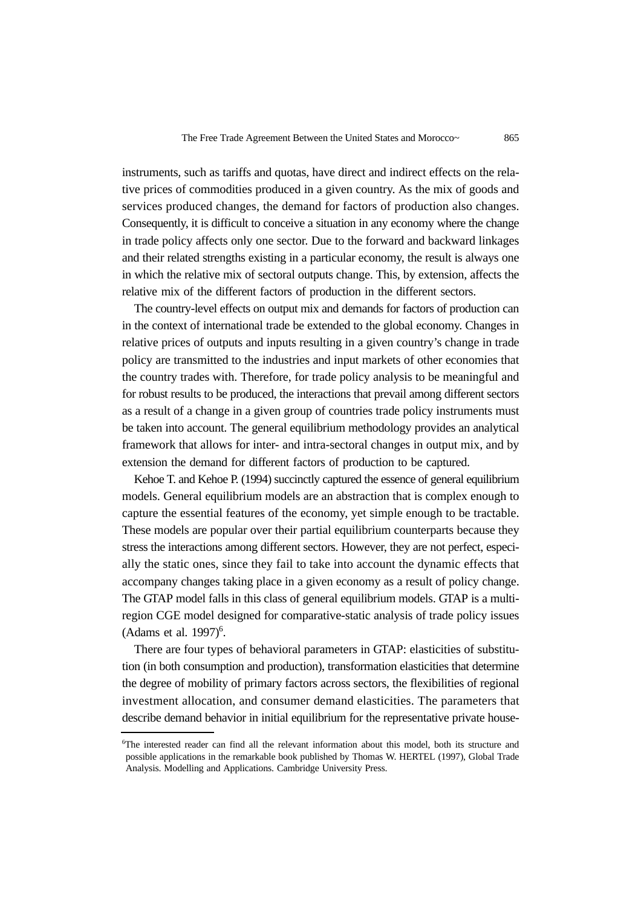instruments, such as tariffs and quotas, have direct and indirect effects on the relative prices of commodities produced in a given country. As the mix of goods and services produced changes, the demand for factors of production also changes. Consequently, it is difficult to conceive a situation in any economy where the change in trade policy affects only one sector. Due to the forward and backward linkages and their related strengths existing in a particular economy, the result is always one in which the relative mix of sectoral outputs change. This, by extension, affects the relative mix of the different factors of production in the different sectors.

The country-level effects on output mix and demands for factors of production can in the context of international trade be extended to the global economy. Changes in relative prices of outputs and inputs resulting in a given country's change in trade policy are transmitted to the industries and input markets of other economies that the country trades with. Therefore, for trade policy analysis to be meaningful and for robust results to be produced, the interactions that prevail among different sectors as a result of a change in a given group of countries trade policy instruments must be taken into account. The general equilibrium methodology provides an analytical framework that allows for inter- and intra-sectoral changes in output mix, and by extension the demand for different factors of production to be captured.

Kehoe T. and Kehoe P. (1994) succinctly captured the essence of general equilibrium models. General equilibrium models are an abstraction that is complex enough to capture the essential features of the economy, yet simple enough to be tractable. These models are popular over their partial equilibrium counterparts because they stress the interactions among different sectors. However, they are not perfect, especially the static ones, since they fail to take into account the dynamic effects that accompany changes taking place in a given economy as a result of policy change. The GTAP model falls in this class of general equilibrium models. GTAP is a multiregion CGE model designed for comparative-static analysis of trade policy issues  $(Adams et al. 1997)<sup>6</sup>$ .

There are four types of behavioral parameters in GTAP: elasticities of substitution (in both consumption and production), transformation elasticities that determine the degree of mobility of primary factors across sectors, the flexibilities of regional investment allocation, and consumer demand elasticities. The parameters that describe demand behavior in initial equilibrium for the representative private house-

<sup>6</sup> The interested reader can find all the relevant information about this model, both its structure and possible applications in the remarkable book published by Thomas W. HERTEL (1997), Global Trade Analysis. Modelling and Applications. Cambridge University Press.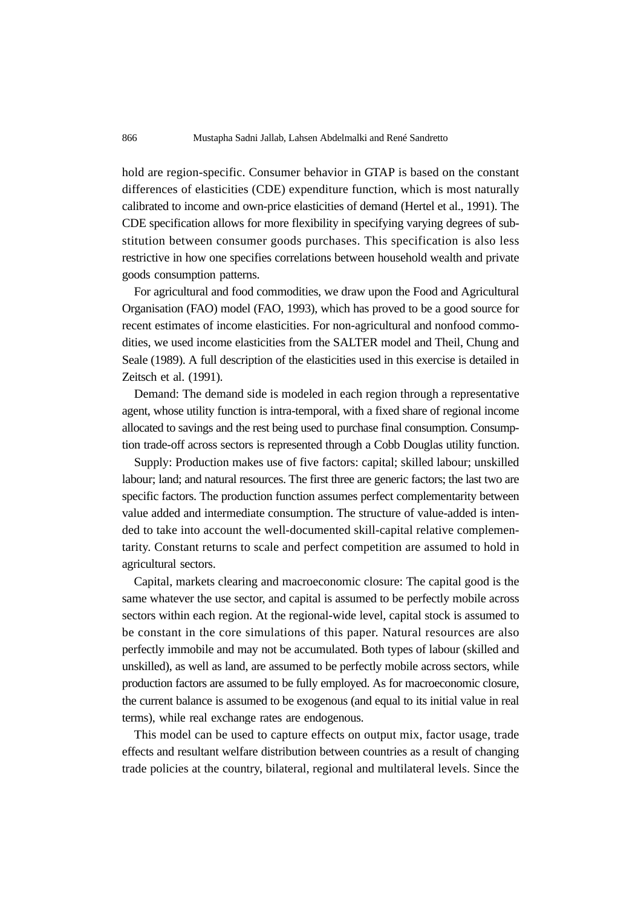hold are region-specific. Consumer behavior in GTAP is based on the constant differences of elasticities (CDE) expenditure function, which is most naturally calibrated to income and own-price elasticities of demand (Hertel et al., 1991). The CDE specification allows for more flexibility in specifying varying degrees of substitution between consumer goods purchases. This specification is also less restrictive in how one specifies correlations between household wealth and private goods consumption patterns.

For agricultural and food commodities, we draw upon the Food and Agricultural Organisation (FAO) model (FAO, 1993), which has proved to be a good source for recent estimates of income elasticities. For non-agricultural and nonfood commodities, we used income elasticities from the SALTER model and Theil, Chung and Seale (1989). A full description of the elasticities used in this exercise is detailed in Zeitsch et al. (1991).

Demand: The demand side is modeled in each region through a representative agent, whose utility function is intra-temporal, with a fixed share of regional income allocated to savings and the rest being used to purchase final consumption. Consumption trade-off across sectors is represented through a Cobb Douglas utility function.

Supply: Production makes use of five factors: capital; skilled labour; unskilled labour; land; and natural resources. The first three are generic factors; the last two are specific factors. The production function assumes perfect complementarity between value added and intermediate consumption. The structure of value-added is intended to take into account the well-documented skill-capital relative complementarity. Constant returns to scale and perfect competition are assumed to hold in agricultural sectors.

Capital, markets clearing and macroeconomic closure: The capital good is the same whatever the use sector, and capital is assumed to be perfectly mobile across sectors within each region. At the regional-wide level, capital stock is assumed to be constant in the core simulations of this paper. Natural resources are also perfectly immobile and may not be accumulated. Both types of labour (skilled and unskilled), as well as land, are assumed to be perfectly mobile across sectors, while production factors are assumed to be fully employed. As for macroeconomic closure, the current balance is assumed to be exogenous (and equal to its initial value in real terms), while real exchange rates are endogenous.

This model can be used to capture effects on output mix, factor usage, trade effects and resultant welfare distribution between countries as a result of changing trade policies at the country, bilateral, regional and multilateral levels. Since the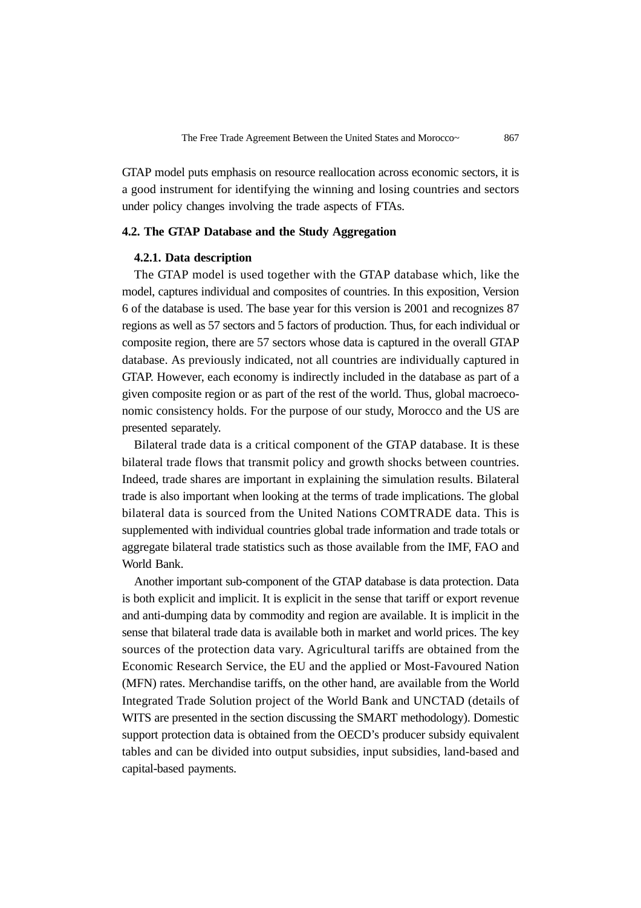GTAP model puts emphasis on resource reallocation across economic sectors, it is a good instrument for identifying the winning and losing countries and sectors under policy changes involving the trade aspects of FTAs.

# **4.2. The GTAP Database and the Study Aggregation**

# **4.2.1. Data description**

The GTAP model is used together with the GTAP database which, like the model, captures individual and composites of countries. In this exposition, Version 6 of the database is used. The base year for this version is 2001 and recognizes 87 regions as well as 57 sectors and 5 factors of production. Thus, for each individual or composite region, there are 57 sectors whose data is captured in the overall GTAP database. As previously indicated, not all countries are individually captured in GTAP. However, each economy is indirectly included in the database as part of a given composite region or as part of the rest of the world. Thus, global macroeconomic consistency holds. For the purpose of our study, Morocco and the US are presented separately.

Bilateral trade data is a critical component of the GTAP database. It is these bilateral trade flows that transmit policy and growth shocks between countries. Indeed, trade shares are important in explaining the simulation results. Bilateral trade is also important when looking at the terms of trade implications. The global bilateral data is sourced from the United Nations COMTRADE data. This is supplemented with individual countries global trade information and trade totals or aggregate bilateral trade statistics such as those available from the IMF, FAO and World Bank.

Another important sub-component of the GTAP database is data protection. Data is both explicit and implicit. It is explicit in the sense that tariff or export revenue and anti-dumping data by commodity and region are available. It is implicit in the sense that bilateral trade data is available both in market and world prices. The key sources of the protection data vary. Agricultural tariffs are obtained from the Economic Research Service, the EU and the applied or Most-Favoured Nation (MFN) rates. Merchandise tariffs, on the other hand, are available from the World Integrated Trade Solution project of the World Bank and UNCTAD (details of WITS are presented in the section discussing the SMART methodology). Domestic support protection data is obtained from the OECD's producer subsidy equivalent tables and can be divided into output subsidies, input subsidies, land-based and capital-based payments.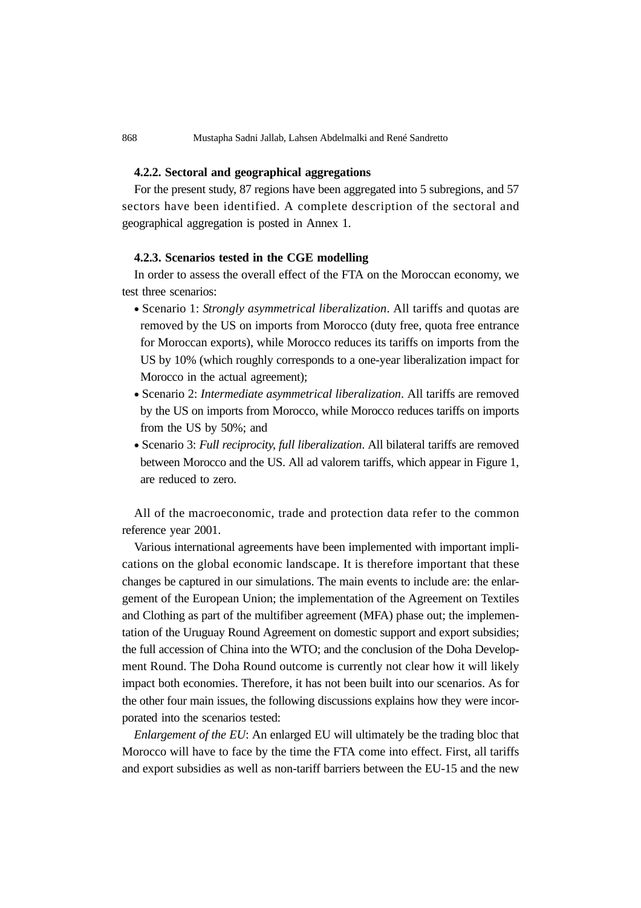#### **4.2.2. Sectoral and geographical aggregations**

For the present study, 87 regions have been aggregated into 5 subregions, and 57 sectors have been identified. A complete description of the sectoral and geographical aggregation is posted in Annex 1.

# **4.2.3. Scenarios tested in the CGE modelling**

In order to assess the overall effect of the FTA on the Moroccan economy, we test three scenarios:

- Scenario 1: *Strongly asymmetrical liberalization*. All tariffs and quotas are removed by the US on imports from Morocco (duty free, quota free entrance for Moroccan exports), while Morocco reduces its tariffs on imports from the US by 10% (which roughly corresponds to a one-year liberalization impact for Morocco in the actual agreement);
- Scenario 2: *Intermediate asymmetrical liberalization*. All tariffs are removed by the US on imports from Morocco, while Morocco reduces tariffs on imports from the US by 50%; and
- Scenario 3: *Full reciprocity*, *full liberalization*. All bilateral tariffs are removed between Morocco and the US. All ad valorem tariffs, which appear in Figure 1, are reduced to zero.

All of the macroeconomic, trade and protection data refer to the common reference year 2001.

Various international agreements have been implemented with important implications on the global economic landscape. It is therefore important that these changes be captured in our simulations. The main events to include are: the enlargement of the European Union; the implementation of the Agreement on Textiles and Clothing as part of the multifiber agreement (MFA) phase out; the implementation of the Uruguay Round Agreement on domestic support and export subsidies; the full accession of China into the WTO; and the conclusion of the Doha Development Round. The Doha Round outcome is currently not clear how it will likely impact both economies. Therefore, it has not been built into our scenarios. As for the other four main issues, the following discussions explains how they were incorporated into the scenarios tested:

*Enlargement of the EU*: An enlarged EU will ultimately be the trading bloc that Morocco will have to face by the time the FTA come into effect. First, all tariffs and export subsidies as well as non-tariff barriers between the EU-15 and the new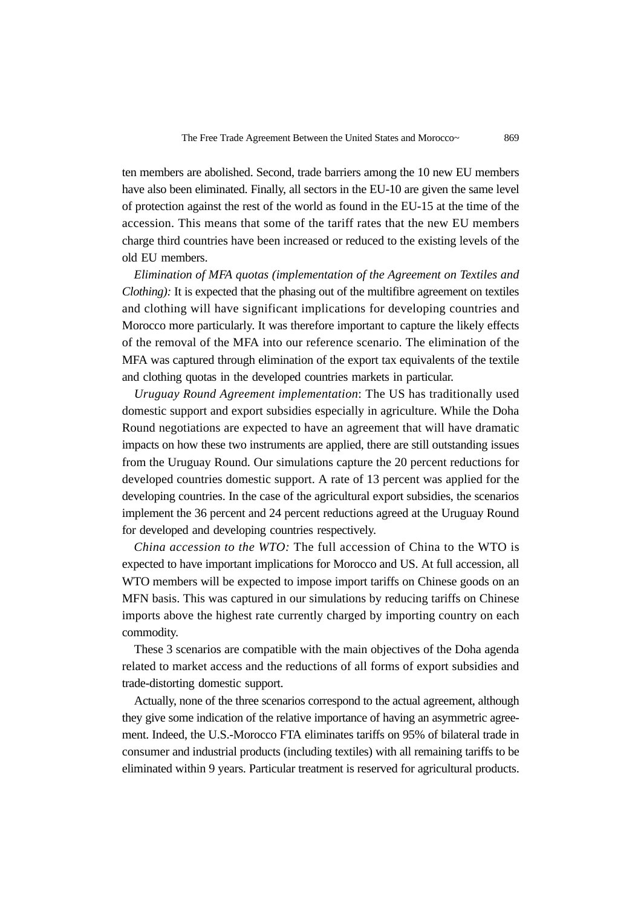ten members are abolished. Second, trade barriers among the 10 new EU members have also been eliminated. Finally, all sectors in the EU-10 are given the same level of protection against the rest of the world as found in the EU-15 at the time of the accession. This means that some of the tariff rates that the new EU members charge third countries have been increased or reduced to the existing levels of the old EU members.

*Elimination of MFA quotas (implementation of the Agreement on Textiles and Clothing*): It is expected that the phasing out of the multifibre agreement on textiles and clothing will have significant implications for developing countries and Morocco more particularly. It was therefore important to capture the likely effects of the removal of the MFA into our reference scenario. The elimination of the MFA was captured through elimination of the export tax equivalents of the textile and clothing quotas in the developed countries markets in particular.

*Uruguay Round Agreement implementation*: The US has traditionally used domestic support and export subsidies especially in agriculture. While the Doha Round negotiations are expected to have an agreement that will have dramatic impacts on how these two instruments are applied, there are still outstanding issues from the Uruguay Round. Our simulations capture the 20 percent reductions for developed countries domestic support. A rate of 13 percent was applied for the developing countries. In the case of the agricultural export subsidies, the scenarios implement the 36 percent and 24 percent reductions agreed at the Uruguay Round for developed and developing countries respectively.

*China accession to the WTO:* The full accession of China to the WTO is expected to have important implications for Morocco and US. At full accession, all WTO members will be expected to impose import tariffs on Chinese goods on an MFN basis. This was captured in our simulations by reducing tariffs on Chinese imports above the highest rate currently charged by importing country on each commodity.

These 3 scenarios are compatible with the main objectives of the Doha agenda related to market access and the reductions of all forms of export subsidies and trade-distorting domestic support.

Actually, none of the three scenarios correspond to the actual agreement, although they give some indication of the relative importance of having an asymmetric agreement. Indeed, the U.S.-Morocco FTA eliminates tariffs on 95% of bilateral trade in consumer and industrial products (including textiles) with all remaining tariffs to be eliminated within 9 years. Particular treatment is reserved for agricultural products.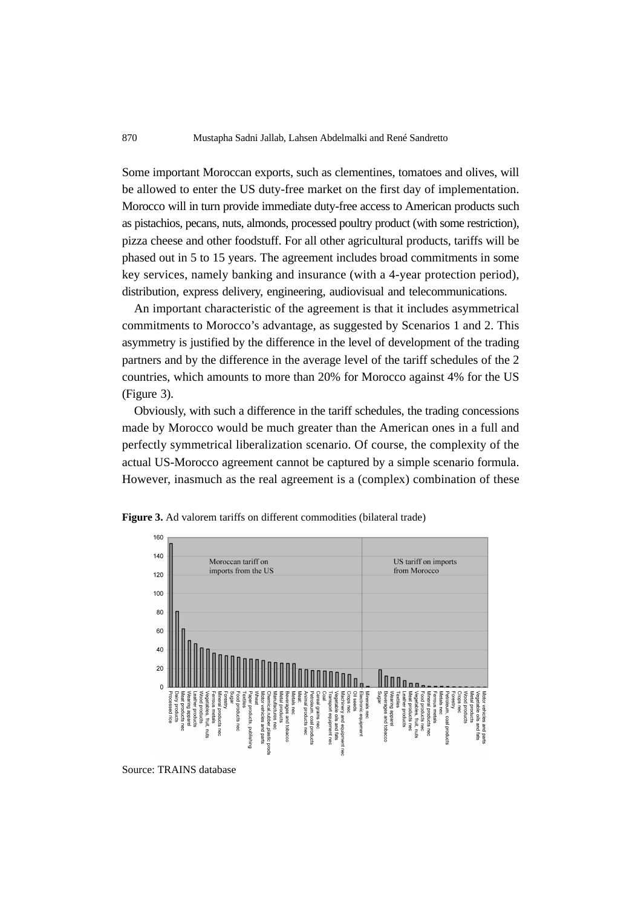Some important Moroccan exports, such as clementines, tomatoes and olives, will be allowed to enter the US duty-free market on the first day of implementation. Morocco will in turn provide immediate duty-free access to American products such as pistachios, pecans, nuts, almonds, processed poultry product (with some restriction), pizza cheese and other foodstuff. For all other agricultural products, tariffs will be phased out in 5 to 15 years. The agreement includes broad commitments in some key services, namely banking and insurance (with a 4-year protection period), distribution, express delivery, engineering, audiovisual and telecommunications.

An important characteristic of the agreement is that it includes asymmetrical commitments to Morocco's advantage, as suggested by Scenarios 1 and 2. This asymmetry is justified by the difference in the level of development of the trading partners and by the difference in the average level of the tariff schedules of the 2 countries, which amounts to more than 20% for Morocco against 4% for the US (Figure 3).

Obviously, with such a difference in the tariff schedules, the trading concessions made by Morocco would be much greater than the American ones in a full and perfectly symmetrical liberalization scenario. Of course, the complexity of the actual US-Morocco agreement cannot be captured by a simple scenario formula. However, inasmuch as the real agreement is a (complex) combination of these



**Figure 3.** Ad valorem tariffs on different commodities (bilateral trade)

Source: TRAINS database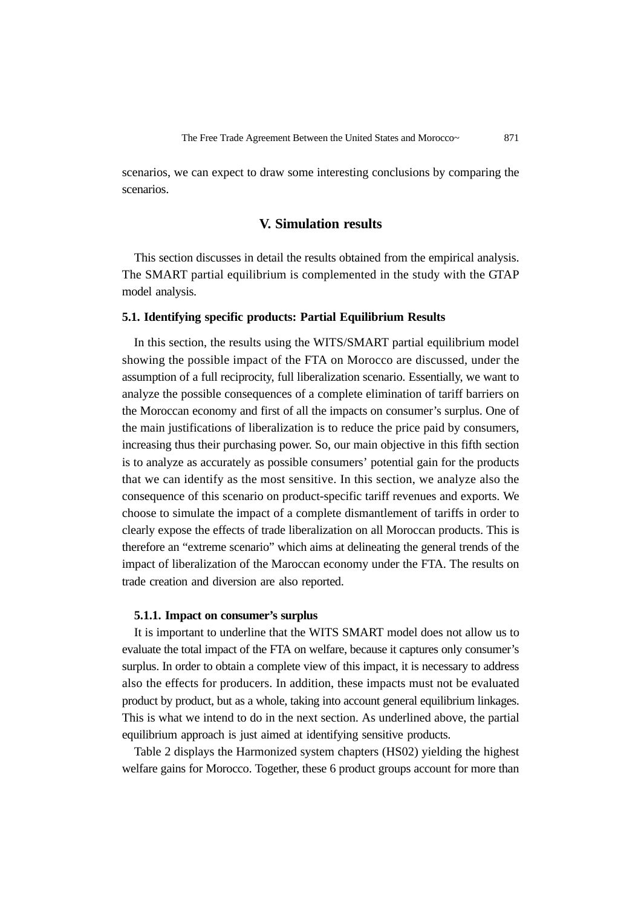scenarios, we can expect to draw some interesting conclusions by comparing the scenarios.

# **V. Simulation results**

This section discusses in detail the results obtained from the empirical analysis. The SMART partial equilibrium is complemented in the study with the GTAP model analysis.

#### **5.1. Identifying specific products: Partial Equilibrium Results**

In this section, the results using the WITS/SMART partial equilibrium model showing the possible impact of the FTA on Morocco are discussed, under the assumption of a full reciprocity, full liberalization scenario. Essentially, we want to analyze the possible consequences of a complete elimination of tariff barriers on the Moroccan economy and first of all the impacts on consumer's surplus. One of the main justifications of liberalization is to reduce the price paid by consumers, increasing thus their purchasing power. So, our main objective in this fifth section is to analyze as accurately as possible consumers' potential gain for the products that we can identify as the most sensitive. In this section, we analyze also the consequence of this scenario on product-specific tariff revenues and exports. We choose to simulate the impact of a complete dismantlement of tariffs in order to clearly expose the effects of trade liberalization on all Moroccan products. This is therefore an "extreme scenario" which aims at delineating the general trends of the impact of liberalization of the Maroccan economy under the FTA. The results on trade creation and diversion are also reported.

#### **5.1.1. Impact on consumer's surplus**

It is important to underline that the WITS SMART model does not allow us to evaluate the total impact of the FTA on welfare, because it captures only consumer's surplus. In order to obtain a complete view of this impact, it is necessary to address also the effects for producers. In addition, these impacts must not be evaluated product by product, but as a whole, taking into account general equilibrium linkages. This is what we intend to do in the next section. As underlined above, the partial equilibrium approach is just aimed at identifying sensitive products.

Table 2 displays the Harmonized system chapters (HS02) yielding the highest welfare gains for Morocco. Together, these 6 product groups account for more than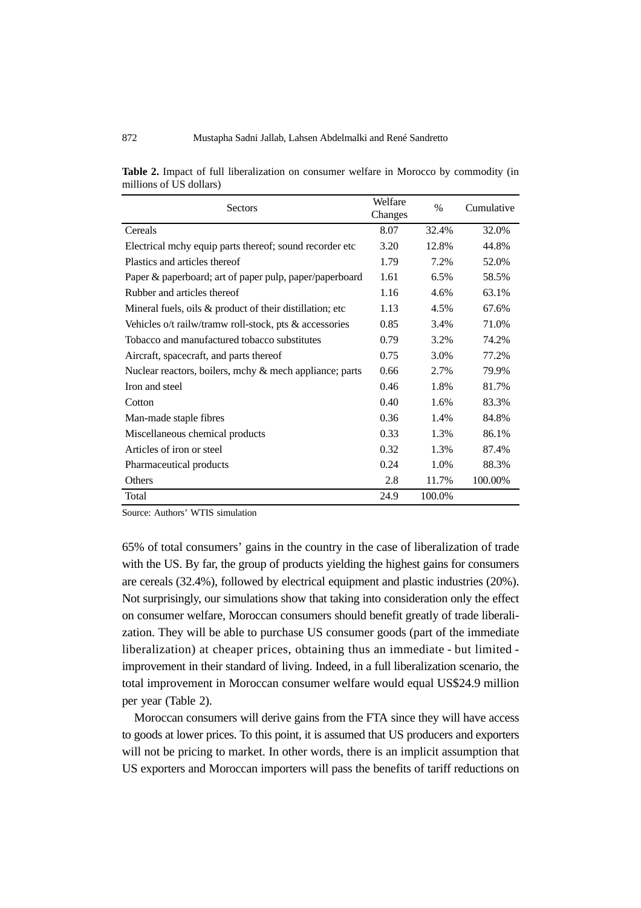**Table 2.** Impact of full liberalization on consumer welfare in Morocco by commodity (in millions of US dollars)

| Sectors                                                    | Welfare<br>Changes | $\%$   | Cumulative |
|------------------------------------------------------------|--------------------|--------|------------|
| Cereals                                                    | 8.07               | 32.4%  | 32.0%      |
| Electrical mchy equip parts thereof; sound recorder etc.   | 3.20               | 12.8%  | 44.8%      |
| Plastics and articles thereof                              | 1.79               | 7.2%   | 52.0%      |
| Paper & paperboard; art of paper pulp, paper/paperboard    | 1.61               | 6.5%   | 58.5%      |
| Rubber and articles thereof                                | 1.16               | 4.6%   | 63.1%      |
| Mineral fuels, oils $&$ product of their distillation; etc | 1.13               | 4.5%   | 67.6%      |
| Vehicles o/t railw/tramw roll-stock, pts & accessories     | 0.85               | 3.4%   | 71.0%      |
| Tobacco and manufactured tobacco substitutes               | 0.79               | 3.2%   | 74.2%      |
| Aircraft, spacecraft, and parts thereof                    | 0.75               | 3.0%   | 77.2%      |
| Nuclear reactors, boilers, mchy & mech appliance; parts    | 0.66               | 2.7%   | 79.9%      |
| Iron and steel                                             | 0.46               | 1.8%   | 81.7%      |
| Cotton                                                     | 0.40               | 1.6%   | 83.3%      |
| Man-made staple fibres                                     | 0.36               | 1.4%   | 84.8%      |
| Miscellaneous chemical products                            | 0.33               | 1.3%   | 86.1%      |
| Articles of iron or steel                                  | 0.32               | 1.3%   | 87.4%      |
| Pharmaceutical products                                    | 0.24               | 1.0%   | 88.3%      |
| Others                                                     | 2.8                | 11.7%  | 100.00%    |
| Total                                                      | 24.9               | 100.0% |            |

Source: Authors' WTIS simulation

65% of total consumers' gains in the country in the case of liberalization of trade with the US. By far, the group of products yielding the highest gains for consumers are cereals (32.4%), followed by electrical equipment and plastic industries (20%). Not surprisingly, our simulations show that taking into consideration only the effect on consumer welfare, Moroccan consumers should benefit greatly of trade liberalization. They will be able to purchase US consumer goods (part of the immediate liberalization) at cheaper prices, obtaining thus an immediate - but limited improvement in their standard of living. Indeed, in a full liberalization scenario, the total improvement in Moroccan consumer welfare would equal US\$24.9 million per year (Table 2).

Moroccan consumers will derive gains from the FTA since they will have access to goods at lower prices. To this point, it is assumed that US producers and exporters will not be pricing to market. In other words, there is an implicit assumption that US exporters and Moroccan importers will pass the benefits of tariff reductions on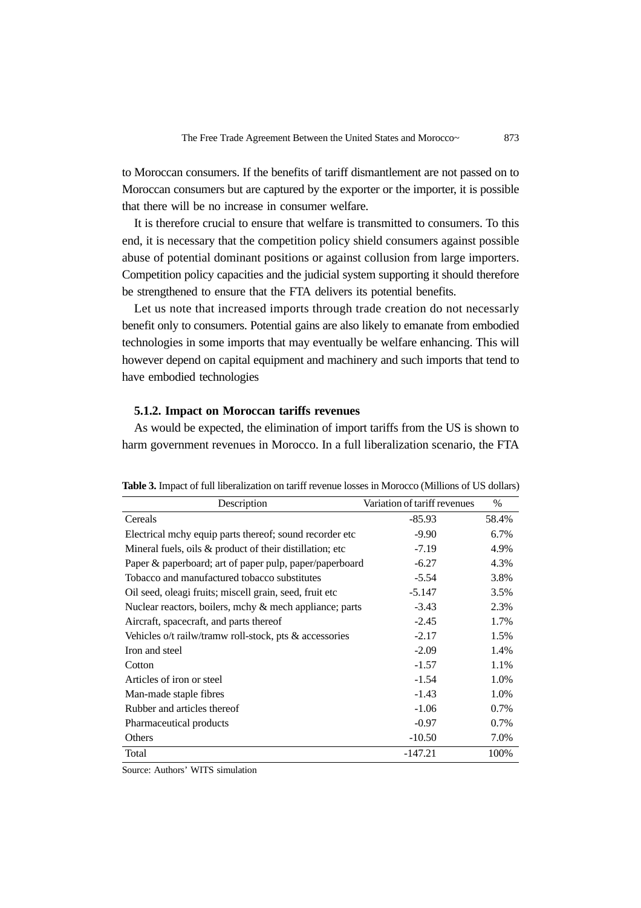to Moroccan consumers. If the benefits of tariff dismantlement are not passed on to Moroccan consumers but are captured by the exporter or the importer, it is possible that there will be no increase in consumer welfare.

It is therefore crucial to ensure that welfare is transmitted to consumers. To this end, it is necessary that the competition policy shield consumers against possible abuse of potential dominant positions or against collusion from large importers. Competition policy capacities and the judicial system supporting it should therefore be strengthened to ensure that the FTA delivers its potential benefits.

Let us note that increased imports through trade creation do not necessarly benefit only to consumers. Potential gains are also likely to emanate from embodied technologies in some imports that may eventually be welfare enhancing. This will however depend on capital equipment and machinery and such imports that tend to have embodied technologies

### **5.1.2. Impact on Moroccan tariffs revenues**

As would be expected, the elimination of import tariffs from the US is shown to harm government revenues in Morocco. In a full liberalization scenario, the FTA

| Description                                                  | Variation of tariff revenues | $\%$  |
|--------------------------------------------------------------|------------------------------|-------|
| Cereals                                                      | $-85.93$                     | 58.4% |
| Electrical mchy equip parts thereof; sound recorder etc.     | $-9.90$                      | 6.7%  |
| Mineral fuels, oils $\&$ product of their distillation; etc. | $-7.19$                      | 4.9%  |
| Paper & paperboard; art of paper pulp, paper/paperboard      | $-6.27$                      | 4.3%  |
| Tobacco and manufactured tobacco substitutes                 | $-5.54$                      | 3.8%  |
| Oil seed, oleagi fruits; miscell grain, seed, fruit etc      | $-5.147$                     | 3.5%  |
| Nuclear reactors, boilers, mchy & mech appliance; parts      | $-3.43$                      | 2.3%  |
| Aircraft, spacecraft, and parts thereof                      | $-2.45$                      | 1.7%  |
| Vehicles o/t railw/tramw roll-stock, pts & accessories       | $-2.17$                      | 1.5%  |
| Iron and steel                                               | $-2.09$                      | 1.4%  |
| Cotton                                                       | $-1.57$                      | 1.1%  |
| Articles of iron or steel                                    | $-1.54$                      | 1.0%  |
| Man-made staple fibres                                       | $-1.43$                      | 1.0%  |
| Rubber and articles thereof                                  | $-1.06$                      | 0.7%  |
| Pharmaceutical products                                      | $-0.97$                      | 0.7%  |
| Others                                                       | $-10.50$                     | 7.0%  |
| Total                                                        | $-147.21$                    | 100%  |

**Table 3.** Impact of full liberalization on tariff revenue losses in Morocco (Millions of US dollars)

Source: Authors' WITS simulation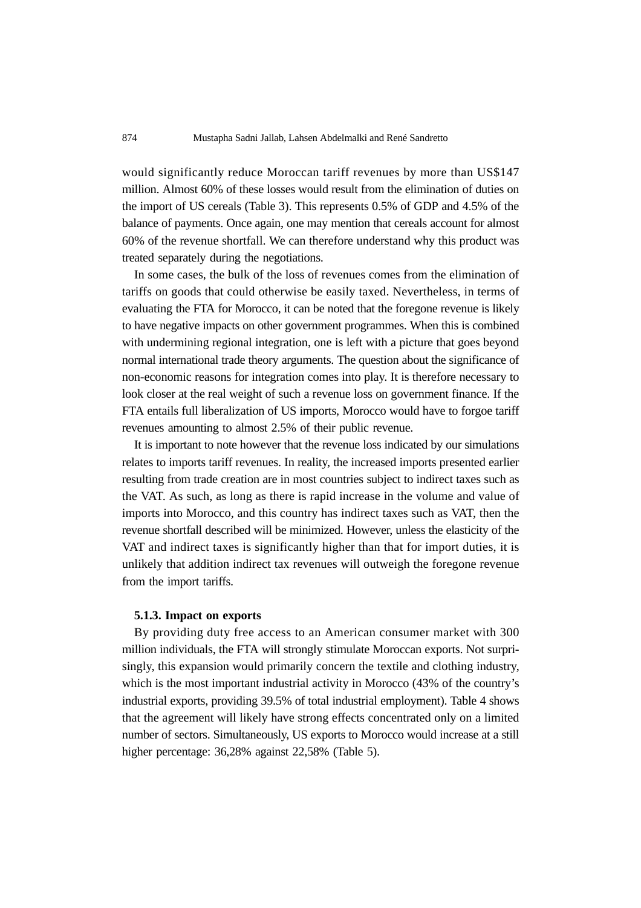would significantly reduce Moroccan tariff revenues by more than US\$147 million. Almost 60% of these losses would result from the elimination of duties on the import of US cereals (Table 3). This represents 0.5% of GDP and 4.5% of the balance of payments. Once again, one may mention that cereals account for almost 60% of the revenue shortfall. We can therefore understand why this product was treated separately during the negotiations.

In some cases, the bulk of the loss of revenues comes from the elimination of tariffs on goods that could otherwise be easily taxed. Nevertheless, in terms of evaluating the FTA for Morocco, it can be noted that the foregone revenue is likely to have negative impacts on other government programmes. When this is combined with undermining regional integration, one is left with a picture that goes beyond normal international trade theory arguments. The question about the significance of non-economic reasons for integration comes into play. It is therefore necessary to look closer at the real weight of such a revenue loss on government finance. If the FTA entails full liberalization of US imports, Morocco would have to forgoe tariff revenues amounting to almost 2.5% of their public revenue.

It is important to note however that the revenue loss indicated by our simulations relates to imports tariff revenues. In reality, the increased imports presented earlier resulting from trade creation are in most countries subject to indirect taxes such as the VAT. As such, as long as there is rapid increase in the volume and value of imports into Morocco, and this country has indirect taxes such as VAT, then the revenue shortfall described will be minimized. However, unless the elasticity of the VAT and indirect taxes is significantly higher than that for import duties, it is unlikely that addition indirect tax revenues will outweigh the foregone revenue from the import tariffs.

### **5.1.3. Impact on exports**

By providing duty free access to an American consumer market with 300 million individuals, the FTA will strongly stimulate Moroccan exports. Not surprisingly, this expansion would primarily concern the textile and clothing industry, which is the most important industrial activity in Morocco (43% of the country's industrial exports, providing 39.5% of total industrial employment). Table 4 shows that the agreement will likely have strong effects concentrated only on a limited number of sectors. Simultaneously, US exports to Morocco would increase at a still higher percentage: 36,28% against 22,58% (Table 5).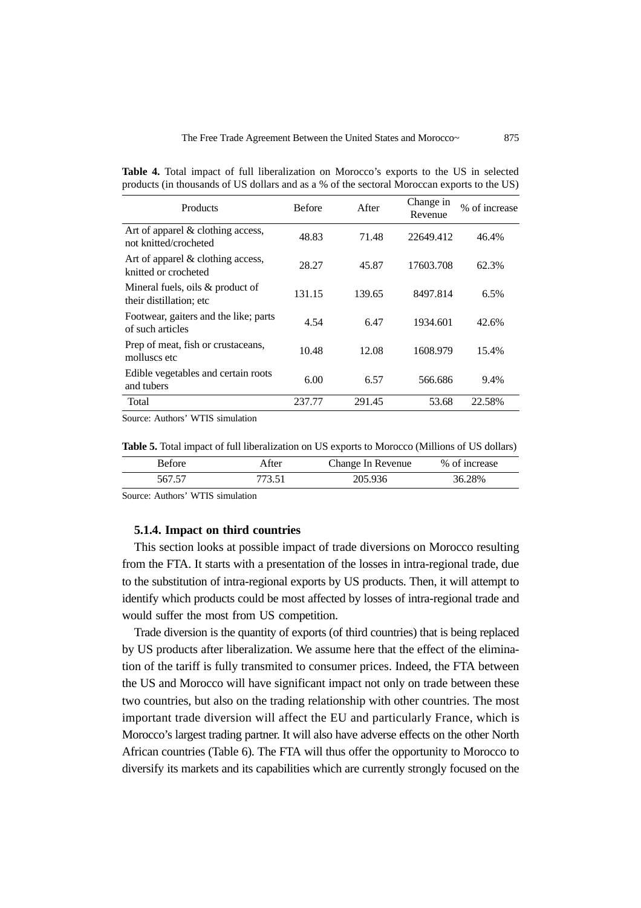**Table 4.** Total impact of full liberalization on Morocco's exports to the US in selected products (in thousands of US dollars and as a % of the sectoral Moroccan exports to the US)

| Products                                                      | <b>Before</b> | After  | Change in<br>Revenue | % of increase |
|---------------------------------------------------------------|---------------|--------|----------------------|---------------|
| Art of apparel $\&$ clothing access,<br>not knitted/crocheted | 48.83         | 71.48  | 22649.412            | 46.4%         |
| Art of apparel $\&$ clothing access,<br>knitted or crocheted  | 28.27         | 45.87  | 17603.708            | 62.3%         |
| Mineral fuels, oils & product of<br>their distillation; etc.  | 131.15        | 139.65 | 8497.814             | 6.5%          |
| Footwear, gaiters and the like; parts<br>of such articles     | 4.54          | 6.47   | 1934.601             | 42.6%         |
| Prep of meat, fish or crustaceans,<br>molluscs etc            | 10.48         | 12.08  | 1608.979             | 15.4%         |
| Edible vegetables and certain roots<br>and tubers             | 6.00          | 6.57   | 566.686              | 9.4%          |
| Total                                                         | 237.77        | 291.45 | 53.68                | 22.58%        |

Source: Authors' WTIS simulation

**Table 5.** Total impact of full liberalization on US exports to Morocco (Millions of US dollars)

| Before | After  | Change In Revenue | % of increase |
|--------|--------|-------------------|---------------|
| 567.57 | 773.51 | 205.936           | 36.28%        |

Source: Authors' WTIS simulation

### **5.1.4. Impact on third countries**

This section looks at possible impact of trade diversions on Morocco resulting from the FTA. It starts with a presentation of the losses in intra-regional trade, due to the substitution of intra-regional exports by US products. Then, it will attempt to identify which products could be most affected by losses of intra-regional trade and would suffer the most from US competition.

Trade diversion is the quantity of exports (of third countries) that is being replaced by US products after liberalization. We assume here that the effect of the elimination of the tariff is fully transmited to consumer prices. Indeed, the FTA between the US and Morocco will have significant impact not only on trade between these two countries, but also on the trading relationship with other countries. The most important trade diversion will affect the EU and particularly France, which is Morocco's largest trading partner. It will also have adverse effects on the other North African countries (Table 6). The FTA will thus offer the opportunity to Morocco to diversify its markets and its capabilities which are currently strongly focused on the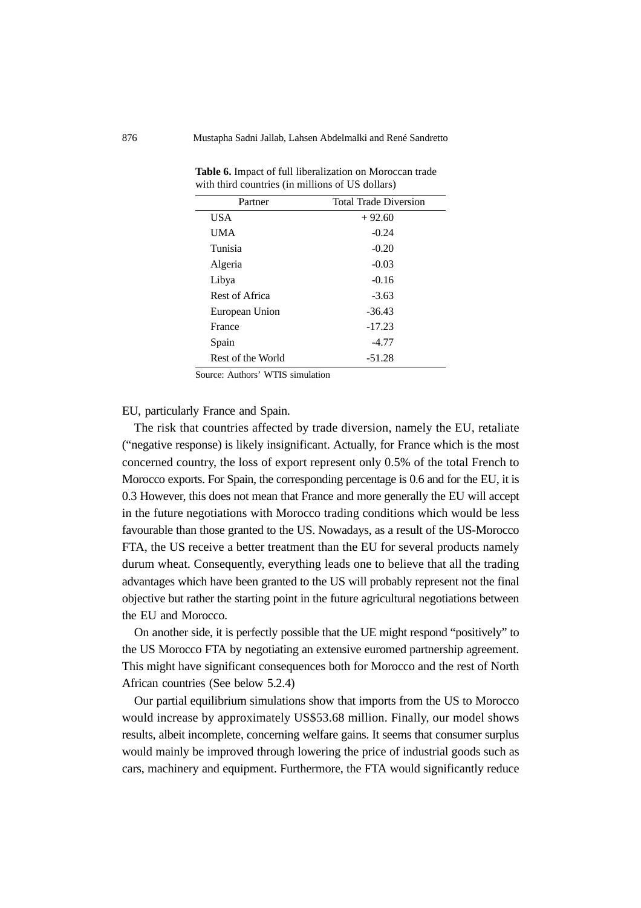| <b>Total Trade Diversion</b> |
|------------------------------|
| $+92.60$                     |
| $-0.24$                      |
| $-0.20$                      |
| $-0.03$                      |
| $-0.16$                      |
| $-3.63$                      |
| $-36.43$                     |
| $-17.23$                     |
| $-4.77$                      |
| $-51.28$                     |
|                              |

**Table 6.** Impact of full liberalization on Moroccan trade with third countries (in millions of US dollars)

Source: Authors' WTIS simulation

### EU, particularly France and Spain.

The risk that countries affected by trade diversion, namely the EU, retaliate ("negative response) is likely insignificant. Actually, for France which is the most concerned country, the loss of export represent only 0.5% of the total French to Morocco exports. For Spain, the corresponding percentage is 0.6 and for the EU, it is 0.3 However, this does not mean that France and more generally the EU will accept in the future negotiations with Morocco trading conditions which would be less favourable than those granted to the US. Nowadays, as a result of the US-Morocco FTA, the US receive a better treatment than the EU for several products namely durum wheat. Consequently, everything leads one to believe that all the trading advantages which have been granted to the US will probably represent not the final objective but rather the starting point in the future agricultural negotiations between the EU and Morocco.

On another side, it is perfectly possible that the UE might respond "positively" to the US Morocco FTA by negotiating an extensive euromed partnership agreement. This might have significant consequences both for Morocco and the rest of North African countries (See below 5.2.4)

Our partial equilibrium simulations show that imports from the US to Morocco would increase by approximately US\$53.68 million. Finally, our model shows results, albeit incomplete, concerning welfare gains. It seems that consumer surplus would mainly be improved through lowering the price of industrial goods such as cars, machinery and equipment. Furthermore, the FTA would significantly reduce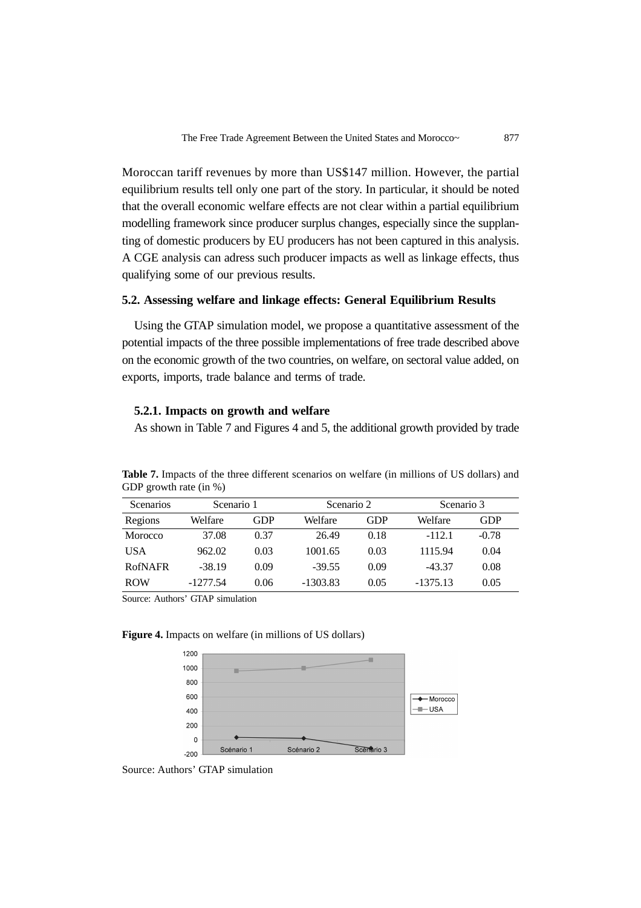Moroccan tariff revenues by more than US\$147 million. However, the partial equilibrium results tell only one part of the story. In particular, it should be noted that the overall economic welfare effects are not clear within a partial equilibrium modelling framework since producer surplus changes, especially since the supplanting of domestic producers by EU producers has not been captured in this analysis. A CGE analysis can adress such producer impacts as well as linkage effects, thus qualifying some of our previous results.

# **5.2. Assessing welfare and linkage effects: General Equilibrium Results**

Using the GTAP simulation model, we propose a quantitative assessment of the potential impacts of the three possible implementations of free trade described above on the economic growth of the two countries, on welfare, on sectoral value added, on exports, imports, trade balance and terms of trade.

# **5.2.1. Impacts on growth and welfare**

As shown in Table 7 and Figures 4 and 5, the additional growth provided by trade

| GDP growth rate $(in %)$ |            |     |            |     |            |     |  |  |  |
|--------------------------|------------|-----|------------|-----|------------|-----|--|--|--|
| <b>Scenarios</b>         | Scenario 1 |     | Scenario 2 |     | Scenario 3 |     |  |  |  |
| Regions                  | Welfare    | GDP | Welfare    | GDP | Welfare    | GDP |  |  |  |

Morocco 37.08 0.37 26.49 0.18 -112.1 -0.78 USA 962.02 0.03 1001.65 0.03 1115.94 0.04

**Table 7.** Impacts of the three different scenarios on welfare (in millions of US dollars) and

| <b>RofNAFR</b> | $-38.19$   | 0.09 | $-39.55$   | 0.09 | $-43.37$   | $0.08\,$ |
|----------------|------------|------|------------|------|------------|----------|
| <b>ROW</b>     | $-1277.54$ | 0.06 | $-1303.83$ | 0.05 | $-1375.13$ | 0.05     |

Source: Authors' GTAP simulation

### **Figure 4.** Impacts on welfare (in millions of US dollars)



Source: Authors' GTAP simulation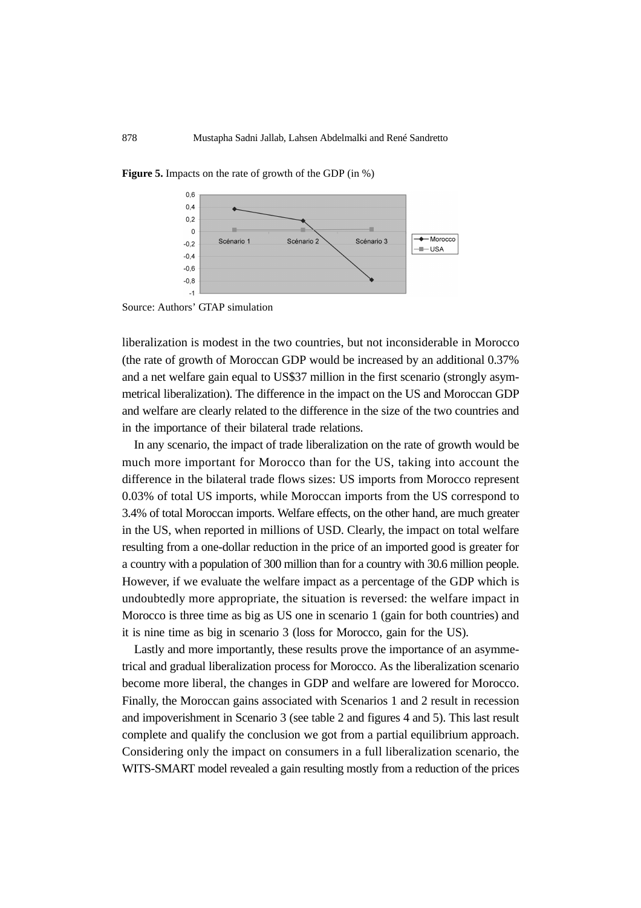

**Figure 5.** Impacts on the rate of growth of the GDP (in %)

Source: Authors' GTAP simulation

liberalization is modest in the two countries, but not inconsiderable in Morocco (the rate of growth of Moroccan GDP would be increased by an additional 0.37% and a net welfare gain equal to US\$37 million in the first scenario (strongly asymmetrical liberalization). The difference in the impact on the US and Moroccan GDP and welfare are clearly related to the difference in the size of the two countries and in the importance of their bilateral trade relations.

In any scenario, the impact of trade liberalization on the rate of growth would be much more important for Morocco than for the US, taking into account the difference in the bilateral trade flows sizes: US imports from Morocco represent 0.03% of total US imports, while Moroccan imports from the US correspond to 3.4% of total Moroccan imports. Welfare effects, on the other hand, are much greater in the US, when reported in millions of USD. Clearly, the impact on total welfare resulting from a one-dollar reduction in the price of an imported good is greater for a country with a population of 300 million than for a country with 30.6 million people. However, if we evaluate the welfare impact as a percentage of the GDP which is undoubtedly more appropriate, the situation is reversed: the welfare impact in Morocco is three time as big as US one in scenario 1 (gain for both countries) and it is nine time as big in scenario 3 (loss for Morocco, gain for the US).

Lastly and more importantly, these results prove the importance of an asymmetrical and gradual liberalization process for Morocco. As the liberalization scenario become more liberal, the changes in GDP and welfare are lowered for Morocco. Finally, the Moroccan gains associated with Scenarios 1 and 2 result in recession and impoverishment in Scenario 3 (see table 2 and figures 4 and 5). This last result complete and qualify the conclusion we got from a partial equilibrium approach. Considering only the impact on consumers in a full liberalization scenario, the WITS-SMART model revealed a gain resulting mostly from a reduction of the prices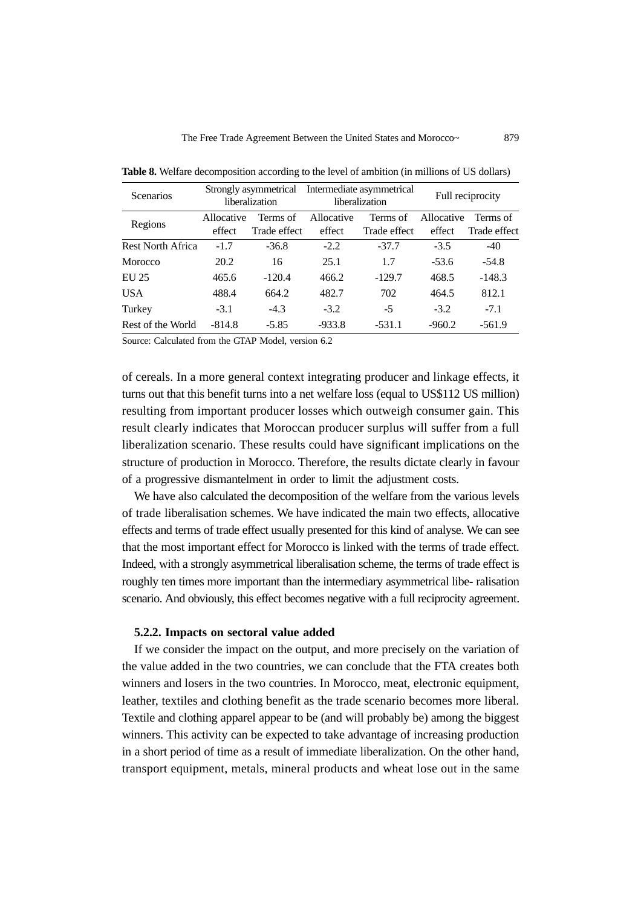| <b>Scenarios</b>         | Strongly asymmetrical<br>liberalization |              |            | Intermediate asymmetrical<br>liberalization | Full reciprocity |              |  |
|--------------------------|-----------------------------------------|--------------|------------|---------------------------------------------|------------------|--------------|--|
| Regions                  | Allocative                              | Terms of     | Allocative | Terms of                                    | Allocative       | Terms of     |  |
|                          | effect                                  | Trade effect | effect     | Trade effect                                | effect           | Trade effect |  |
| <b>Rest North Africa</b> | $-1.7$                                  | $-36.8$      | $-2.2$     | $-37.7$                                     | $-3.5$           | $-40$        |  |
| Morocco                  | 20.2                                    | 16           | 25.1       | 1.7                                         | $-53.6$          | $-54.8$      |  |
| EU 25                    | 465.6                                   | $-120.4$     | 466.2      | $-129.7$                                    | 468.5            | $-148.3$     |  |
| <b>USA</b>               | 488.4                                   | 664.2        | 482.7      | 702                                         | 464.5            | 812.1        |  |
| Turkey                   | $-3.1$                                  | $-4.3$       | $-3.2$     | -5                                          | $-3.2$           | $-7.1$       |  |
| Rest of the World        | $-814.8$                                | $-5.85$      | $-933.8$   | $-531.1$                                    | $-960.2$         | $-561.9$     |  |

**Table 8.** Welfare decomposition according to the level of ambition (in millions of US dollars)

Source: Calculated from the GTAP Model, version 6.2

of cereals. In a more general context integrating producer and linkage effects, it turns out that this benefit turns into a net welfare loss (equal to US\$112 US million) resulting from important producer losses which outweigh consumer gain. This result clearly indicates that Moroccan producer surplus will suffer from a full liberalization scenario. These results could have significant implications on the structure of production in Morocco. Therefore, the results dictate clearly in favour of a progressive dismantelment in order to limit the adjustment costs.

We have also calculated the decomposition of the welfare from the various levels of trade liberalisation schemes. We have indicated the main two effects, allocative effects and terms of trade effect usually presented for this kind of analyse. We can see that the most important effect for Morocco is linked with the terms of trade effect. Indeed, with a strongly asymmetrical liberalisation scheme, the terms of trade effect is roughly ten times more important than the intermediary asymmetrical libe- ralisation scenario. And obviously, this effect becomes negative with a full reciprocity agreement.

#### **5.2.2. Impacts on sectoral value added**

If we consider the impact on the output, and more precisely on the variation of the value added in the two countries, we can conclude that the FTA creates both winners and losers in the two countries. In Morocco, meat, electronic equipment, leather, textiles and clothing benefit as the trade scenario becomes more liberal. Textile and clothing apparel appear to be (and will probably be) among the biggest winners. This activity can be expected to take advantage of increasing production in a short period of time as a result of immediate liberalization. On the other hand, transport equipment, metals, mineral products and wheat lose out in the same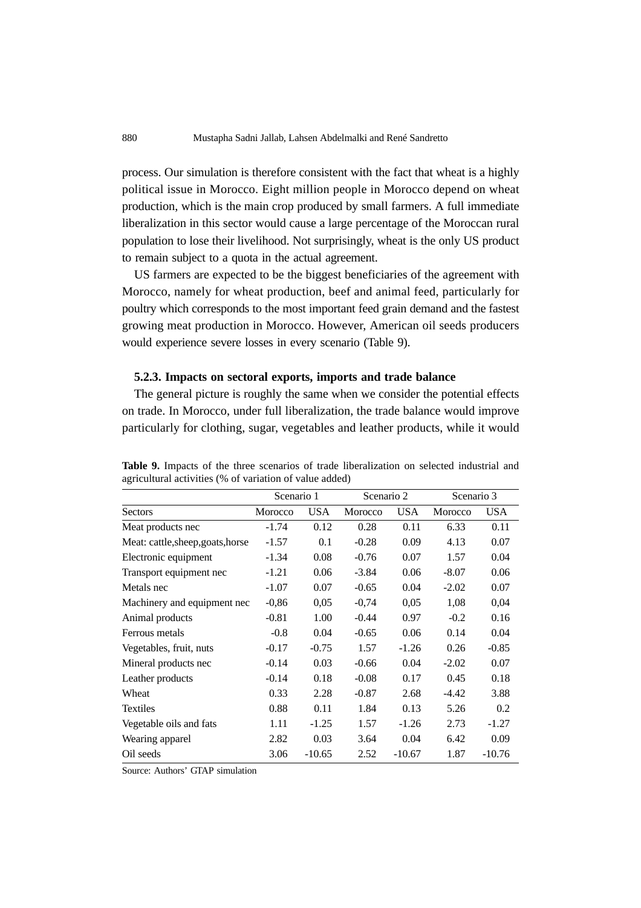process. Our simulation is therefore consistent with the fact that wheat is a highly political issue in Morocco. Eight million people in Morocco depend on wheat production, which is the main crop produced by small farmers. A full immediate liberalization in this sector would cause a large percentage of the Moroccan rural population to lose their livelihood. Not surprisingly, wheat is the only US product to remain subject to a quota in the actual agreement.

US farmers are expected to be the biggest beneficiaries of the agreement with Morocco, namely for wheat production, beef and animal feed, particularly for poultry which corresponds to the most important feed grain demand and the fastest growing meat production in Morocco. However, American oil seeds producers would experience severe losses in every scenario (Table 9).

# **5.2.3. Impacts on sectoral exports, imports and trade balance**

The general picture is roughly the same when we consider the potential effects on trade. In Morocco, under full liberalization, the trade balance would improve particularly for clothing, sugar, vegetables and leather products, while it would

|                                   | Scenario 1 |            | Scenario 2 |            | Scenario 3 |          |
|-----------------------------------|------------|------------|------------|------------|------------|----------|
| <b>Sectors</b>                    | Morocco    | <b>USA</b> | Morocco    | <b>USA</b> | Morocco    | USA.     |
| Meat products nec                 | $-1.74$    | 0.12       | 0.28       | 0.11       | 6.33       | 0.11     |
| Meat: cattle, sheep, goats, horse | $-1.57$    | 0.1        | $-0.28$    | 0.09       | 4.13       | 0.07     |
| Electronic equipment              | $-1.34$    | 0.08       | $-0.76$    | 0.07       | 1.57       | 0.04     |
| Transport equipment nec           | $-1.21$    | 0.06       | $-3.84$    | 0.06       | $-8.07$    | 0.06     |
| Metals nec                        | $-1.07$    | 0.07       | $-0.65$    | 0.04       | $-2.02$    | 0.07     |
| Machinery and equipment nec       | $-0,86$    | 0,05       | $-0,74$    | 0,05       | 1,08       | 0,04     |
| Animal products                   | $-0.81$    | 1.00       | $-0.44$    | 0.97       | $-0.2$     | 0.16     |
| Ferrous metals                    | $-0.8$     | 0.04       | $-0.65$    | 0.06       | 0.14       | 0.04     |
| Vegetables, fruit, nuts           | $-0.17$    | $-0.75$    | 1.57       | $-1.26$    | 0.26       | $-0.85$  |
| Mineral products nec              | $-0.14$    | 0.03       | $-0.66$    | 0.04       | $-2.02$    | 0.07     |
| Leather products                  | $-0.14$    | 0.18       | $-0.08$    | 0.17       | 0.45       | 0.18     |
| Wheat                             | 0.33       | 2.28       | $-0.87$    | 2.68       | $-4.42$    | 3.88     |
| Textiles                          | 0.88       | 0.11       | 1.84       | 0.13       | 5.26       | 0.2      |
| Vegetable oils and fats           | 1.11       | $-1.25$    | 1.57       | $-1.26$    | 2.73       | $-1.27$  |
| Wearing apparel                   | 2.82       | 0.03       | 3.64       | 0.04       | 6.42       | 0.09     |
| Oil seeds                         | 3.06       | $-10.65$   | 2.52       | $-10.67$   | 1.87       | $-10.76$ |

**Table 9.** Impacts of the three scenarios of trade liberalization on selected industrial and agricultural activities (% of variation of value added)

Source: Authors' GTAP simulation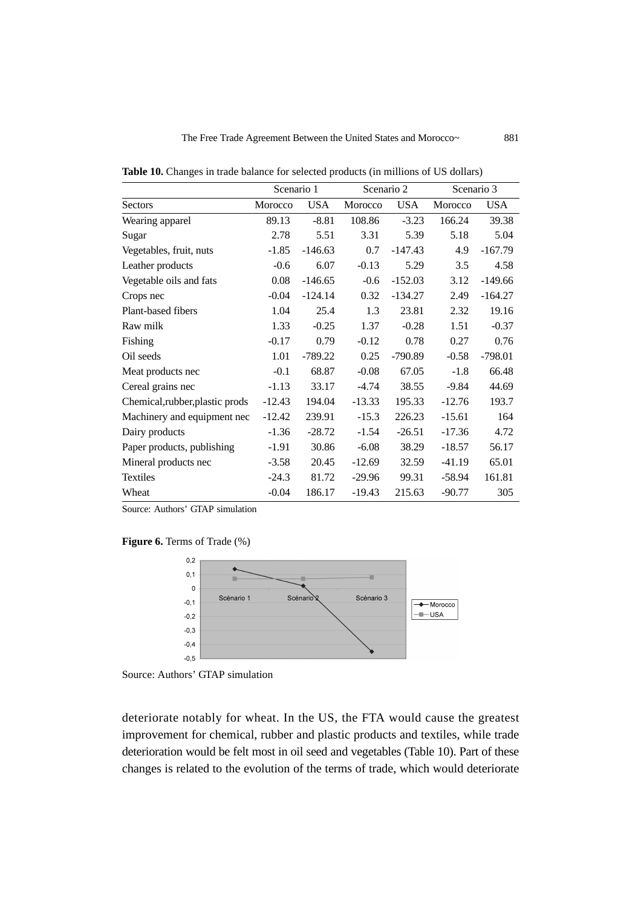|                                 | Scenario 1 |            | Scenario 2 |            | Scenario 3 |            |
|---------------------------------|------------|------------|------------|------------|------------|------------|
| <b>Sectors</b>                  | Morocco    | <b>USA</b> | Morocco    | <b>USA</b> | Morocco    | <b>USA</b> |
| Wearing apparel                 | 89.13      | $-8.81$    | 108.86     | $-3.23$    | 166.24     | 39.38      |
| Sugar                           | 2.78       | 5.51       | 3.31       | 5.39       | 5.18       | 5.04       |
| Vegetables, fruit, nuts         | $-1.85$    | $-146.63$  | 0.7        | $-147.43$  | 4.9        | $-167.79$  |
| Leather products                | $-0.6$     | 6.07       | $-0.13$    | 5.29       | 3.5        | 4.58       |
| Vegetable oils and fats         | 0.08       | $-146.65$  | $-0.6$     | $-152.03$  | 3.12       | $-149.66$  |
| Crops nec                       | $-0.04$    | $-124.14$  | 0.32       | $-134.27$  | 2.49       | $-164.27$  |
| Plant-based fibers              | 1.04       | 25.4       | 1.3        | 23.81      | 2.32       | 19.16      |
| Raw milk                        | 1.33       | $-0.25$    | 1.37       | $-0.28$    | 1.51       | $-0.37$    |
| Fishing                         | $-0.17$    | 0.79       | $-0.12$    | 0.78       | 0.27       | 0.76       |
| Oil seeds                       | 1.01       | -789.22    | 0.25       | $-790.89$  | $-0.58$    | $-798.01$  |
| Meat products nec               | $-0.1$     | 68.87      | $-0.08$    | 67.05      | $-1.8$     | 66.48      |
| Cereal grains nec               | $-1.13$    | 33.17      | $-4.74$    | 38.55      | $-9.84$    | 44.69      |
| Chemical, rubber, plastic prods | $-12.43$   | 194.04     | $-13.33$   | 195.33     | $-12.76$   | 193.7      |
| Machinery and equipment nec     | $-12.42$   | 239.91     | $-15.3$    | 226.23     | $-15.61$   | 164        |
| Dairy products                  | $-1.36$    | $-28.72$   | $-1.54$    | $-26.51$   | $-17.36$   | 4.72       |
| Paper products, publishing      | $-1.91$    | 30.86      | $-6.08$    | 38.29      | $-18.57$   | 56.17      |
| Mineral products nec            | $-3.58$    | 20.45      | $-12.69$   | 32.59      | $-41.19$   | 65.01      |
| Textiles                        | $-24.3$    | 81.72      | $-29.96$   | 99.31      | $-58.94$   | 161.81     |
| Wheat                           | $-0.04$    | 186.17     | $-19.43$   | 215.63     | $-90.77$   | 305        |

**Table 10.** Changes in trade balance for selected products (in millions of US dollars)

Source: Authors' GTAP simulation

#### **Figure 6.** Terms of Trade (%)



Source: Authors' GTAP simulation

deteriorate notably for wheat. In the US, the FTA would cause the greatest improvement for chemical, rubber and plastic products and textiles, while trade deterioration would be felt most in oil seed and vegetables (Table 10). Part of these changes is related to the evolution of the terms of trade, which would deteriorate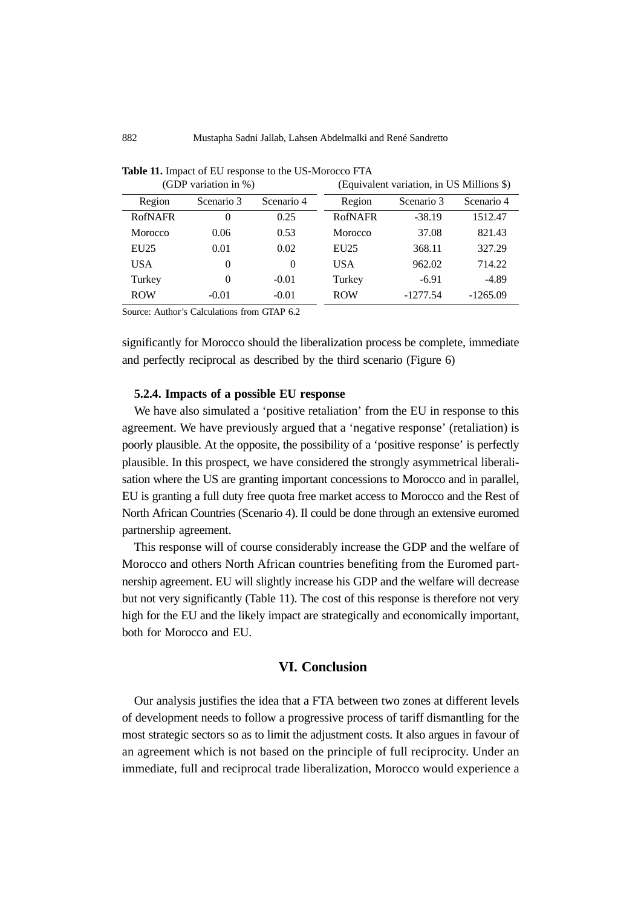| Region           | Scenario 3 | Scenario 4 | Region           | Scenario 3 | Scenario 4 |
|------------------|------------|------------|------------------|------------|------------|
| <b>RofNAFR</b>   | 0          | 0.25       | <b>RofNAFR</b>   | $-38.19$   | 1512.47    |
| Morocco          | 0.06       | 0.53       | Morocco          | 37.08      | 821.43     |
| EU <sub>25</sub> | 0.01       | 0.02       | EU <sub>25</sub> | 368.11     | 327.29     |
| USA              | 0          | 0          | USA              | 962.02     | 714.22     |
| Turkey           | 0          | $-0.01$    | Turkey           | $-6.91$    | $-4.89$    |
| <b>ROW</b>       | $-0.01$    | $-0.01$    | <b>ROW</b>       | $-1277.54$ | $-1265.09$ |

**Table 11.** Impact of EU response to the US-Morocco FTA (GDP variation in %) (Equivalent variation, in US Millions \$)

Source: Author's Calculations from GTAP 6.2

significantly for Morocco should the liberalization process be complete, immediate and perfectly reciprocal as described by the third scenario (Figure 6)

### **5.2.4. Impacts of a possible EU response**

We have also simulated a 'positive retaliation' from the EU in response to this agreement. We have previously argued that a 'negative response' (retaliation) is poorly plausible. At the opposite, the possibility of a 'positive response' is perfectly plausible. In this prospect, we have considered the strongly asymmetrical liberalisation where the US are granting important concessions to Morocco and in parallel, EU is granting a full duty free quota free market access to Morocco and the Rest of North African Countries (Scenario 4). Il could be done through an extensive euromed partnership agreement.

This response will of course considerably increase the GDP and the welfare of Morocco and others North African countries benefiting from the Euromed partnership agreement. EU will slightly increase his GDP and the welfare will decrease but not very significantly (Table 11). The cost of this response is therefore not very high for the EU and the likely impact are strategically and economically important, both for Morocco and EU.

# **VI. Conclusion**

Our analysis justifies the idea that a FTA between two zones at different levels of development needs to follow a progressive process of tariff dismantling for the most strategic sectors so as to limit the adjustment costs. It also argues in favour of an agreement which is not based on the principle of full reciprocity. Under an immediate, full and reciprocal trade liberalization, Morocco would experience a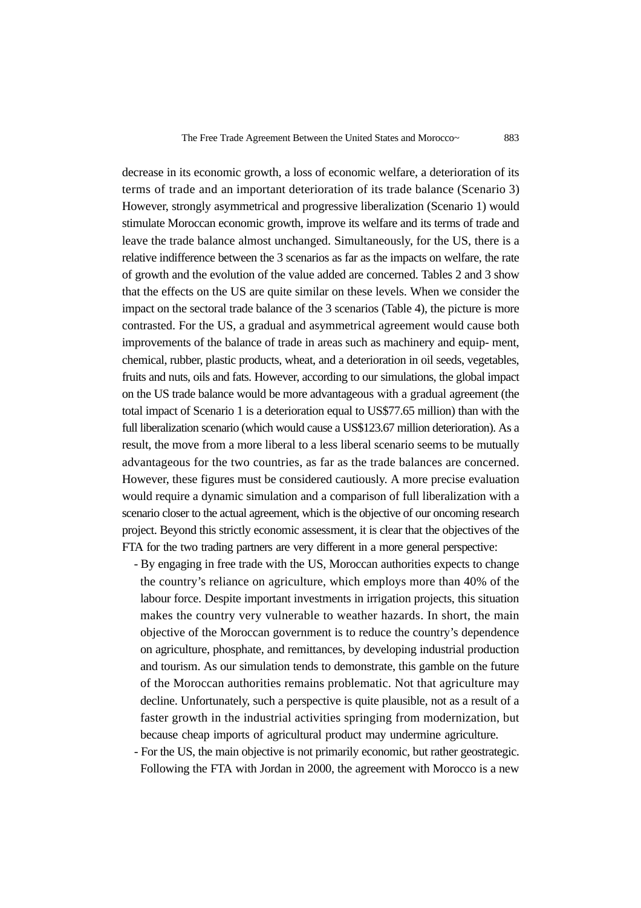decrease in its economic growth, a loss of economic welfare, a deterioration of its terms of trade and an important deterioration of its trade balance (Scenario 3) However, strongly asymmetrical and progressive liberalization (Scenario 1) would stimulate Moroccan economic growth, improve its welfare and its terms of trade and leave the trade balance almost unchanged. Simultaneously, for the US, there is a relative indifference between the 3 scenarios as far as the impacts on welfare, the rate of growth and the evolution of the value added are concerned. Tables 2 and 3 show that the effects on the US are quite similar on these levels. When we consider the impact on the sectoral trade balance of the 3 scenarios (Table 4), the picture is more contrasted. For the US, a gradual and asymmetrical agreement would cause both improvements of the balance of trade in areas such as machinery and equip- ment, chemical, rubber, plastic products, wheat, and a deterioration in oil seeds, vegetables, fruits and nuts, oils and fats. However, according to our simulations, the global impact on the US trade balance would be more advantageous with a gradual agreement (the total impact of Scenario 1 is a deterioration equal to US\$77.65 million) than with the full liberalization scenario (which would cause a US\$123.67 million deterioration). As a result, the move from a more liberal to a less liberal scenario seems to be mutually advantageous for the two countries, as far as the trade balances are concerned. However, these figures must be considered cautiously. A more precise evaluation would require a dynamic simulation and a comparison of full liberalization with a scenario closer to the actual agreement, which is the objective of our oncoming research project. Beyond this strictly economic assessment, it is clear that the objectives of the FTA for the two trading partners are very different in a more general perspective:

- By engaging in free trade with the US, Moroccan authorities expects to change the country's reliance on agriculture, which employs more than 40% of the labour force. Despite important investments in irrigation projects, this situation makes the country very vulnerable to weather hazards. In short, the main objective of the Moroccan government is to reduce the country's dependence on agriculture, phosphate, and remittances, by developing industrial production and tourism. As our simulation tends to demonstrate, this gamble on the future of the Moroccan authorities remains problematic. Not that agriculture may decline. Unfortunately, such a perspective is quite plausible, not as a result of a faster growth in the industrial activities springing from modernization, but because cheap imports of agricultural product may undermine agriculture.
- For the US, the main objective is not primarily economic, but rather geostrategic. Following the FTA with Jordan in 2000, the agreement with Morocco is a new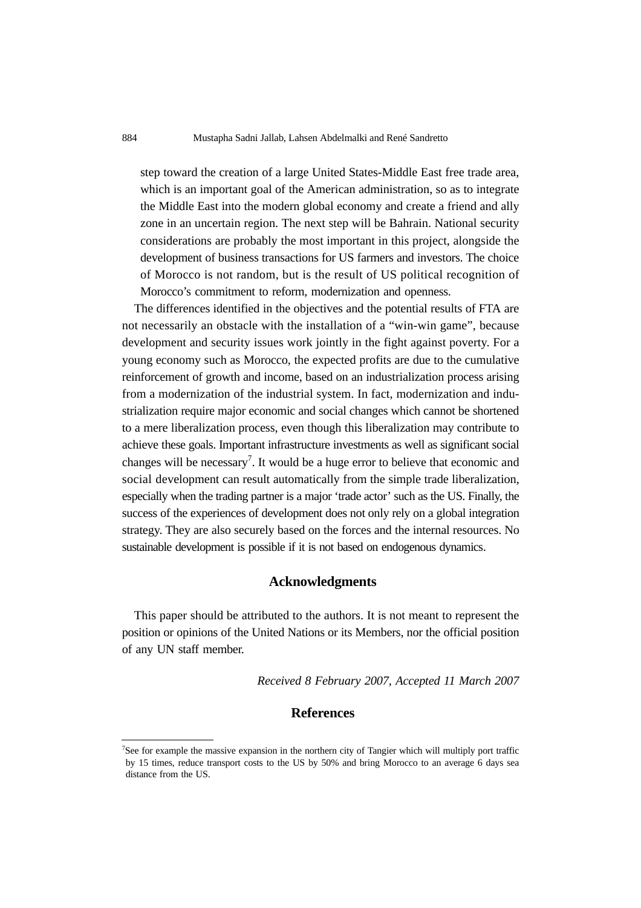step toward the creation of a large United States-Middle East free trade area, which is an important goal of the American administration, so as to integrate the Middle East into the modern global economy and create a friend and ally zone in an uncertain region. The next step will be Bahrain. National security considerations are probably the most important in this project, alongside the development of business transactions for US farmers and investors. The choice of Morocco is not random, but is the result of US political recognition of Morocco's commitment to reform, modernization and openness.

The differences identified in the objectives and the potential results of FTA are not necessarily an obstacle with the installation of a "win-win game", because development and security issues work jointly in the fight against poverty. For a young economy such as Morocco, the expected profits are due to the cumulative reinforcement of growth and income, based on an industrialization process arising from a modernization of the industrial system. In fact, modernization and industrialization require major economic and social changes which cannot be shortened to a mere liberalization process, even though this liberalization may contribute to achieve these goals. Important infrastructure investments as well as significant social changes will be necessary<sup>7</sup>. It would be a huge error to believe that economic and social development can result automatically from the simple trade liberalization, especially when the trading partner is a major 'trade actor' such as the US. Finally, the success of the experiences of development does not only rely on a global integration strategy. They are also securely based on the forces and the internal resources. No sustainable development is possible if it is not based on endogenous dynamics.

# **Acknowledgments**

This paper should be attributed to the authors. It is not meant to represent the position or opinions of the United Nations or its Members, nor the official position of any UN staff member.

*Received 8 February 2007, Accepted 11 March 2007*

### **References**

<sup>7</sup> See for example the massive expansion in the northern city of Tangier which will multiply port traffic by 15 times, reduce transport costs to the US by 50% and bring Morocco to an average 6 days sea distance from the US.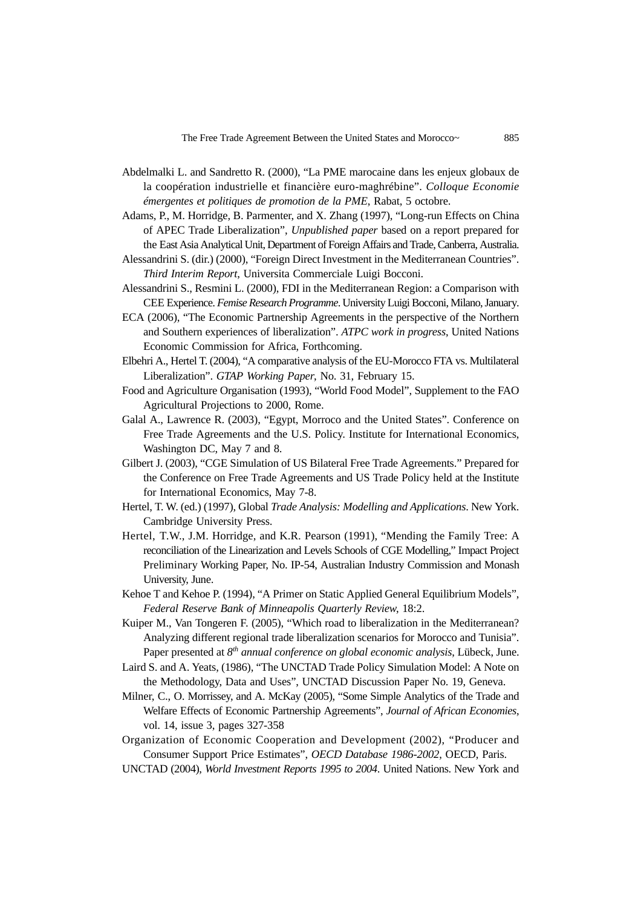- Abdelmalki L. and Sandretto R. (2000), "La PME marocaine dans les enjeux globaux de la coopération industrielle et financière euro-maghrébine". *Colloque Economie émergentes et politiques de promotion de la PME*, Rabat, 5 octobre.
- Adams, P., M. Horridge, B. Parmenter, and X. Zhang (1997), "Long-run Effects on China of APEC Trade Liberalization", *Unpublished paper* based on a report prepared for the East Asia Analytical Unit, Department of Foreign Affairs and Trade, Canberra, Australia.
- Alessandrini S. (dir.) (2000), "Foreign Direct Investment in the Mediterranean Countries". *Third Interim Report*, Universita Commerciale Luigi Bocconi.
- Alessandrini S., Resmini L. (2000), FDI in the Mediterranean Region: a Comparison with CEE Experience. *Femise Research Programme*. University Luigi Bocconi, Milano, January.
- ECA (2006), "The Economic Partnership Agreements in the perspective of the Northern and Southern experiences of liberalization". *ATPC work in progress*, United Nations Economic Commission for Africa, Forthcoming.
- Elbehri A., Hertel T. (2004), "A comparative analysis of the EU-Morocco FTA vs. Multilateral Liberalization". *GTAP Working Paper*, No. 31, February 15.
- Food and Agriculture Organisation (1993), "World Food Model", Supplement to the FAO Agricultural Projections to 2000, Rome.
- Galal A., Lawrence R. (2003), "Egypt, Morroco and the United States". Conference on Free Trade Agreements and the U.S. Policy. Institute for International Economics, Washington DC, May 7 and 8.
- Gilbert J. (2003), "CGE Simulation of US Bilateral Free Trade Agreements." Prepared for the Conference on Free Trade Agreements and US Trade Policy held at the Institute for International Economics, May 7-8.
- Hertel, T. W. (ed.) (1997), Global *Trade Analysis: Modelling and Applications*. New York. Cambridge University Press.
- Hertel, T.W., J.M. Horridge, and K.R. Pearson (1991), "Mending the Family Tree: A reconciliation of the Linearization and Levels Schools of CGE Modelling," Impact Project Preliminary Working Paper, No. IP-54, Australian Industry Commission and Monash University, June.
- Kehoe T and Kehoe P. (1994), "A Primer on Static Applied General Equilibrium Models", *Federal Reserve Bank of Minneapolis Quarterly Review*, 18:2.
- Kuiper M., Van Tongeren F. (2005), "Which road to liberalization in the Mediterranean? Analyzing different regional trade liberalization scenarios for Morocco and Tunisia". Paper presented at *8th annual conference on global economic analysis*, Lübeck, June.
- Laird S. and A. Yeats, (1986), "The UNCTAD Trade Policy Simulation Model: A Note on the Methodology, Data and Uses", UNCTAD Discussion Paper No. 19, Geneva.
- Milner, C., O. Morrissey, and A. McKay (2005), "Some Simple Analytics of the Trade and Welfare Effects of Economic Partnership Agreements", *Journal of African Economies*, vol. 14, issue 3, pages 327-358
- Organization of Economic Cooperation and Development (2002), "Producer and Consumer Support Price Estimates", *OECD Database 1986-2002*, OECD, Paris.
- UNCTAD (2004), *World Investment Reports 1995 to 2004*. United Nations. New York and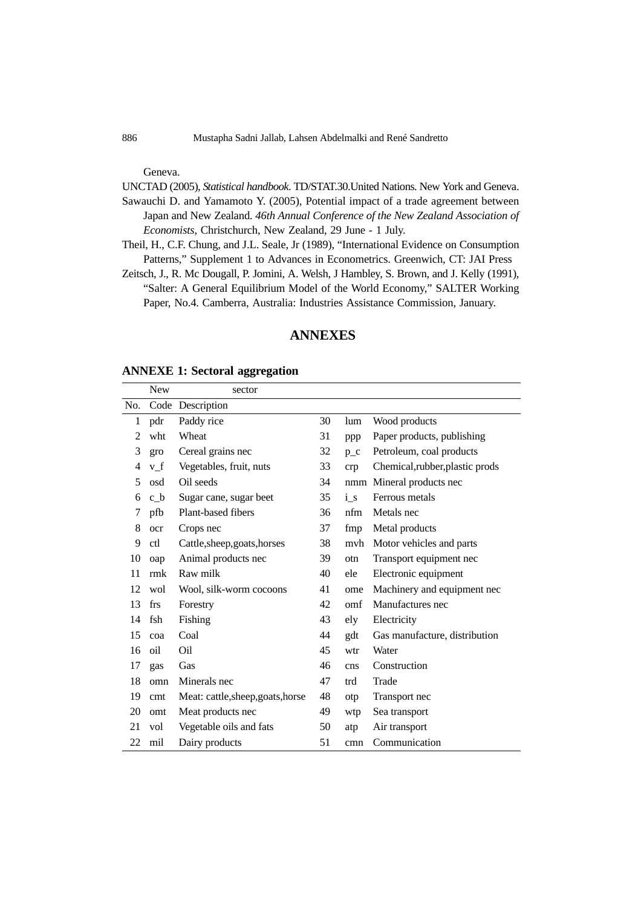### Geneva.

UNCTAD (2005), *Statistical handbook*. TD/STAT.30.United Nations. New York and Geneva.

Sawauchi D. and Yamamoto Y. (2005), Potential impact of a trade agreement between Japan and New Zealand. *46th Annual Conference of the New Zealand Association of Economists*, Christchurch, New Zealand, 29 June - 1 July.

- Theil, H., C.F. Chung, and J.L. Seale, Jr (1989), "International Evidence on Consumption Patterns," Supplement 1 to Advances in Econometrics. Greenwich, CT: JAI Press
- Zeitsch, J., R. Mc Dougall, P. Jomini, A. Welsh, J Hambley, S. Brown, and J. Kelly (1991), "Salter: A General Equilibrium Model of the World Economy," SALTER Working Paper, No.4. Camberra, Australia: Industries Assistance Commission, January.

# **ANNEXES**

# **ANNEXE 1: Sectoral aggregation**

|     | New   | sector                            |    |       |                                 |
|-----|-------|-----------------------------------|----|-------|---------------------------------|
| No. | Code  | Description                       |    |       |                                 |
| 1   | pdr   | Paddy rice                        | 30 | lum   | Wood products                   |
| 2   | wht   | Wheat                             | 31 | ppp   | Paper products, publishing      |
| 3   | gro   | Cereal grains nec                 | 32 | $p_c$ | Petroleum, coal products        |
| 4   | v f   | Vegetables, fruit, nuts           | 33 | crp   | Chemical, rubber, plastic prods |
| 5   | osd   | Oil seeds                         | 34 |       | nmm Mineral products nec        |
| 6   | $c_b$ | Sugar cane, sugar beet            | 35 | i s   | Ferrous metals                  |
| 7   | pfb   | Plant-based fibers                | 36 | nfm   | Metals nec                      |
| 8   | ocr   | Crops nec                         | 37 | fmp   | Metal products                  |
| 9   | ctl   | Cattle, sheep, goats, horses      | 38 | mvh   | Motor vehicles and parts        |
| 10  | oap   | Animal products nec               | 39 | otn   | Transport equipment nec         |
| 11  | rmk   | Raw milk                          | 40 | ele   | Electronic equipment            |
| 12  | wol   | Wool, silk-worm cocoons           | 41 | ome   | Machinery and equipment nec     |
| 13  | frs   | Forestry                          | 42 | omf   | Manufactures nec                |
| 14  | fsh   | Fishing                           | 43 | ely   | Electricity                     |
| 15  | coa   | Coal                              | 44 | gdt   | Gas manufacture, distribution   |
| 16  | oil   | Oil                               | 45 | wtr   | Water                           |
| 17  | gas   | Gas                               | 46 | cns   | Construction                    |
| 18  | omn   | Minerals nec                      | 47 | trd   | Trade                           |
| 19  | cmt   | Meat: cattle, sheep, goats, horse | 48 | otp   | Transport nec                   |
| 20  | omt   | Meat products nec                 | 49 | wtp   | Sea transport                   |
| 21  | vol   | Vegetable oils and fats           | 50 | atp   | Air transport                   |
| 22  | mil   | Dairy products                    | 51 | cmn   | Communication                   |